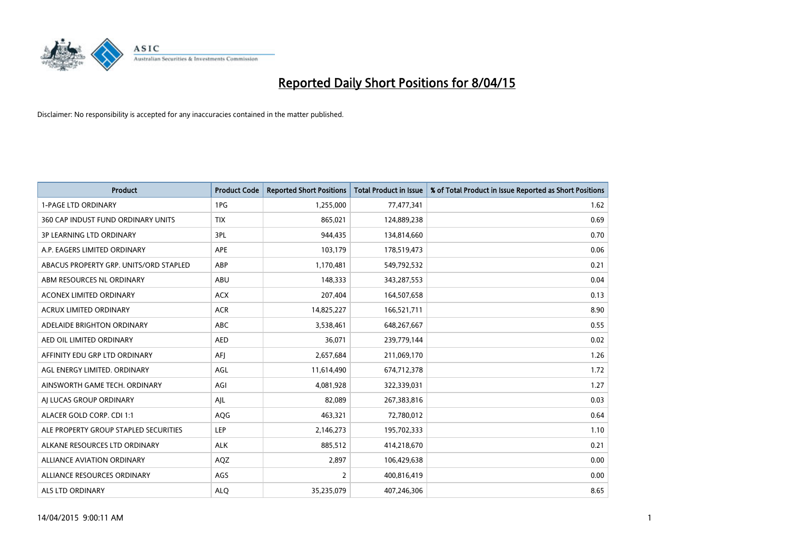

| <b>Product</b>                         | <b>Product Code</b> | <b>Reported Short Positions</b> | <b>Total Product in Issue</b> | % of Total Product in Issue Reported as Short Positions |
|----------------------------------------|---------------------|---------------------------------|-------------------------------|---------------------------------------------------------|
| <b>1-PAGE LTD ORDINARY</b>             | 1PG                 | 1,255,000                       | 77,477,341                    | 1.62                                                    |
| 360 CAP INDUST FUND ORDINARY UNITS     | <b>TIX</b>          | 865,021                         | 124,889,238                   | 0.69                                                    |
| <b>3P LEARNING LTD ORDINARY</b>        | 3PL                 | 944,435                         | 134,814,660                   | 0.70                                                    |
| A.P. EAGERS LIMITED ORDINARY           | <b>APE</b>          | 103,179                         | 178,519,473                   | 0.06                                                    |
| ABACUS PROPERTY GRP. UNITS/ORD STAPLED | ABP                 | 1,170,481                       | 549,792,532                   | 0.21                                                    |
| ABM RESOURCES NL ORDINARY              | ABU                 | 148,333                         | 343,287,553                   | 0.04                                                    |
| ACONEX LIMITED ORDINARY                | <b>ACX</b>          | 207,404                         | 164,507,658                   | 0.13                                                    |
| ACRUX LIMITED ORDINARY                 | <b>ACR</b>          | 14,825,227                      | 166,521,711                   | 8.90                                                    |
| ADELAIDE BRIGHTON ORDINARY             | <b>ABC</b>          | 3,538,461                       | 648,267,667                   | 0.55                                                    |
| AED OIL LIMITED ORDINARY               | <b>AED</b>          | 36,071                          | 239,779,144                   | 0.02                                                    |
| AFFINITY EDU GRP LTD ORDINARY          | AFJ                 | 2,657,684                       | 211,069,170                   | 1.26                                                    |
| AGL ENERGY LIMITED. ORDINARY           | AGL                 | 11,614,490                      | 674,712,378                   | 1.72                                                    |
| AINSWORTH GAME TECH. ORDINARY          | AGI                 | 4,081,928                       | 322,339,031                   | 1.27                                                    |
| AI LUCAS GROUP ORDINARY                | AJL                 | 82,089                          | 267,383,816                   | 0.03                                                    |
| ALACER GOLD CORP. CDI 1:1              | AQG                 | 463,321                         | 72,780,012                    | 0.64                                                    |
| ALE PROPERTY GROUP STAPLED SECURITIES  | <b>LEP</b>          | 2,146,273                       | 195,702,333                   | 1.10                                                    |
| ALKANE RESOURCES LTD ORDINARY          | <b>ALK</b>          | 885,512                         | 414,218,670                   | 0.21                                                    |
| ALLIANCE AVIATION ORDINARY             | AQZ                 | 2,897                           | 106,429,638                   | 0.00                                                    |
| ALLIANCE RESOURCES ORDINARY            | AGS                 | $\overline{2}$                  | 400,816,419                   | 0.00                                                    |
| ALS LTD ORDINARY                       | <b>ALQ</b>          | 35,235,079                      | 407,246,306                   | 8.65                                                    |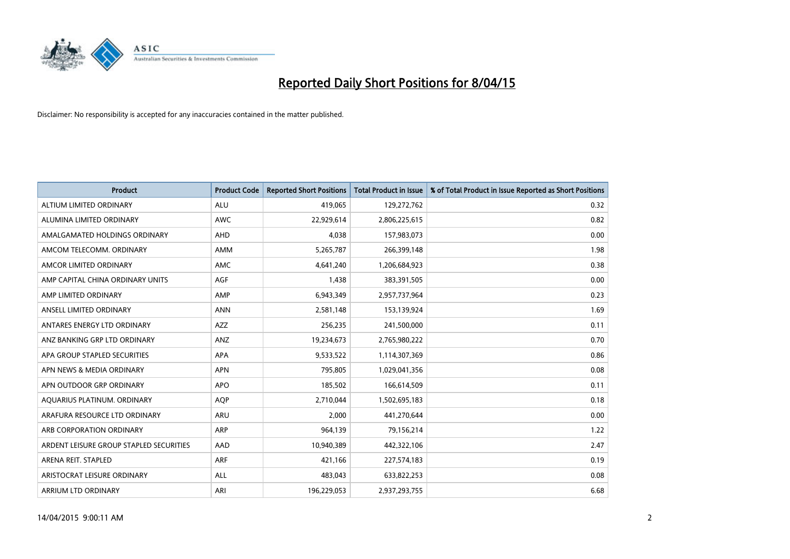

| <b>Product</b>                          | <b>Product Code</b> | <b>Reported Short Positions</b> | <b>Total Product in Issue</b> | % of Total Product in Issue Reported as Short Positions |
|-----------------------------------------|---------------------|---------------------------------|-------------------------------|---------------------------------------------------------|
| ALTIUM LIMITED ORDINARY                 | <b>ALU</b>          | 419,065                         | 129,272,762                   | 0.32                                                    |
| ALUMINA LIMITED ORDINARY                | AWC                 | 22,929,614                      | 2,806,225,615                 | 0.82                                                    |
| AMALGAMATED HOLDINGS ORDINARY           | AHD                 | 4,038                           | 157,983,073                   | 0.00                                                    |
| AMCOM TELECOMM. ORDINARY                | AMM                 | 5,265,787                       | 266,399,148                   | 1.98                                                    |
| AMCOR LIMITED ORDINARY                  | <b>AMC</b>          | 4,641,240                       | 1,206,684,923                 | 0.38                                                    |
| AMP CAPITAL CHINA ORDINARY UNITS        | AGF                 | 1,438                           | 383,391,505                   | 0.00                                                    |
| AMP LIMITED ORDINARY                    | AMP                 | 6,943,349                       | 2,957,737,964                 | 0.23                                                    |
| ANSELL LIMITED ORDINARY                 | <b>ANN</b>          | 2,581,148                       | 153,139,924                   | 1.69                                                    |
| ANTARES ENERGY LTD ORDINARY             | AZZ                 | 256,235                         | 241,500,000                   | 0.11                                                    |
| ANZ BANKING GRP LTD ORDINARY            | ANZ                 | 19,234,673                      | 2,765,980,222                 | 0.70                                                    |
| APA GROUP STAPLED SECURITIES            | <b>APA</b>          | 9,533,522                       | 1,114,307,369                 | 0.86                                                    |
| APN NEWS & MEDIA ORDINARY               | <b>APN</b>          | 795,805                         | 1,029,041,356                 | 0.08                                                    |
| APN OUTDOOR GRP ORDINARY                | <b>APO</b>          | 185,502                         | 166,614,509                   | 0.11                                                    |
| AQUARIUS PLATINUM. ORDINARY             | <b>AOP</b>          | 2,710,044                       | 1,502,695,183                 | 0.18                                                    |
| ARAFURA RESOURCE LTD ORDINARY           | ARU                 | 2,000                           | 441,270,644                   | 0.00                                                    |
| ARB CORPORATION ORDINARY                | ARP                 | 964,139                         | 79,156,214                    | 1.22                                                    |
| ARDENT LEISURE GROUP STAPLED SECURITIES | AAD                 | 10,940,389                      | 442,322,106                   | 2.47                                                    |
| ARENA REIT. STAPLED                     | <b>ARF</b>          | 421,166                         | 227,574,183                   | 0.19                                                    |
| ARISTOCRAT LEISURE ORDINARY             | ALL                 | 483,043                         | 633,822,253                   | 0.08                                                    |
| ARRIUM LTD ORDINARY                     | ARI                 | 196,229,053                     | 2,937,293,755                 | 6.68                                                    |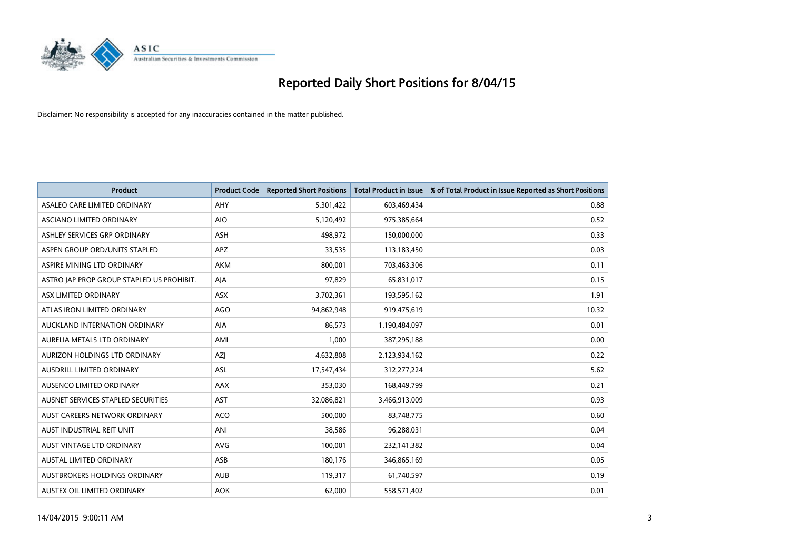

| <b>Product</b>                            | <b>Product Code</b> | <b>Reported Short Positions</b> | <b>Total Product in Issue</b> | % of Total Product in Issue Reported as Short Positions |
|-------------------------------------------|---------------------|---------------------------------|-------------------------------|---------------------------------------------------------|
| ASALEO CARE LIMITED ORDINARY              | AHY                 | 5,301,422                       | 603,469,434                   | 0.88                                                    |
| ASCIANO LIMITED ORDINARY                  | <b>AIO</b>          | 5,120,492                       | 975,385,664                   | 0.52                                                    |
| ASHLEY SERVICES GRP ORDINARY              | <b>ASH</b>          | 498,972                         | 150,000,000                   | 0.33                                                    |
| ASPEN GROUP ORD/UNITS STAPLED             | APZ                 | 33,535                          | 113,183,450                   | 0.03                                                    |
| ASPIRE MINING LTD ORDINARY                | <b>AKM</b>          | 800,001                         | 703,463,306                   | 0.11                                                    |
| ASTRO JAP PROP GROUP STAPLED US PROHIBIT. | AJA                 | 97,829                          | 65,831,017                    | 0.15                                                    |
| ASX LIMITED ORDINARY                      | ASX                 | 3,702,361                       | 193,595,162                   | 1.91                                                    |
| ATLAS IRON LIMITED ORDINARY               | <b>AGO</b>          | 94,862,948                      | 919,475,619                   | 10.32                                                   |
| AUCKLAND INTERNATION ORDINARY             | <b>AIA</b>          | 86.573                          | 1,190,484,097                 | 0.01                                                    |
| AURELIA METALS LTD ORDINARY               | AMI                 | 1,000                           | 387,295,188                   | 0.00                                                    |
| AURIZON HOLDINGS LTD ORDINARY             | AZJ                 | 4,632,808                       | 2,123,934,162                 | 0.22                                                    |
| AUSDRILL LIMITED ORDINARY                 | ASL                 | 17,547,434                      | 312,277,224                   | 5.62                                                    |
| AUSENCO LIMITED ORDINARY                  | AAX                 | 353,030                         | 168,449,799                   | 0.21                                                    |
| AUSNET SERVICES STAPLED SECURITIES        | AST                 | 32,086,821                      | 3,466,913,009                 | 0.93                                                    |
| AUST CAREERS NETWORK ORDINARY             | <b>ACO</b>          | 500,000                         | 83,748,775                    | 0.60                                                    |
| AUST INDUSTRIAL REIT UNIT                 | ANI                 | 38,586                          | 96,288,031                    | 0.04                                                    |
| AUST VINTAGE LTD ORDINARY                 | <b>AVG</b>          | 100,001                         | 232,141,382                   | 0.04                                                    |
| AUSTAL LIMITED ORDINARY                   | ASB                 | 180,176                         | 346,865,169                   | 0.05                                                    |
| AUSTBROKERS HOLDINGS ORDINARY             | <b>AUB</b>          | 119,317                         | 61,740,597                    | 0.19                                                    |
| AUSTEX OIL LIMITED ORDINARY               | <b>AOK</b>          | 62,000                          | 558,571,402                   | 0.01                                                    |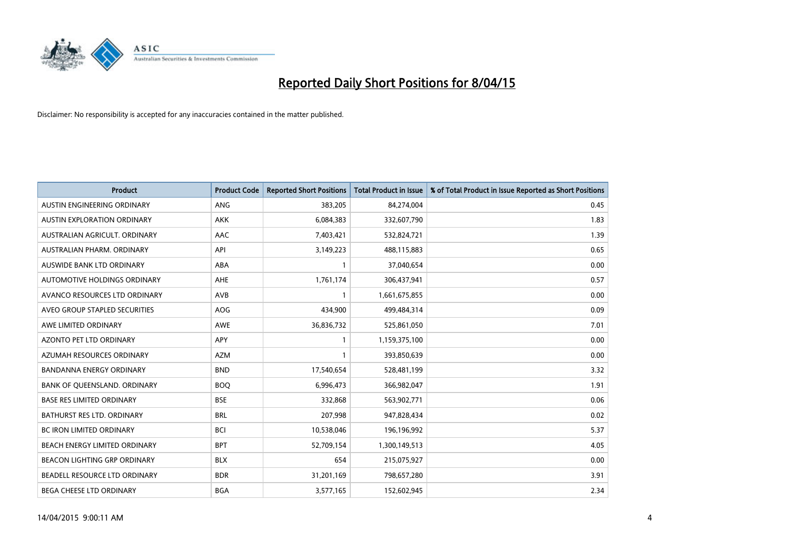

| <b>Product</b>                    | <b>Product Code</b> | <b>Reported Short Positions</b> | <b>Total Product in Issue</b> | % of Total Product in Issue Reported as Short Positions |
|-----------------------------------|---------------------|---------------------------------|-------------------------------|---------------------------------------------------------|
| AUSTIN ENGINEERING ORDINARY       | <b>ANG</b>          | 383,205                         | 84,274,004                    | 0.45                                                    |
| AUSTIN EXPLORATION ORDINARY       | <b>AKK</b>          | 6,084,383                       | 332,607,790                   | 1.83                                                    |
| AUSTRALIAN AGRICULT, ORDINARY     | AAC                 | 7,403,421                       | 532,824,721                   | 1.39                                                    |
| AUSTRALIAN PHARM. ORDINARY        | API                 | 3,149,223                       | 488,115,883                   | 0.65                                                    |
| AUSWIDE BANK LTD ORDINARY         | ABA                 | $\mathbf{1}$                    | 37,040,654                    | 0.00                                                    |
| AUTOMOTIVE HOLDINGS ORDINARY      | <b>AHE</b>          | 1,761,174                       | 306,437,941                   | 0.57                                                    |
| AVANCO RESOURCES LTD ORDINARY     | <b>AVB</b>          | 1                               | 1,661,675,855                 | 0.00                                                    |
| AVEO GROUP STAPLED SECURITIES     | <b>AOG</b>          | 434,900                         | 499,484,314                   | 0.09                                                    |
| AWE LIMITED ORDINARY              | <b>AWE</b>          | 36,836,732                      | 525,861,050                   | 7.01                                                    |
| <b>AZONTO PET LTD ORDINARY</b>    | <b>APY</b>          | $\mathbf{1}$                    | 1,159,375,100                 | 0.00                                                    |
| AZUMAH RESOURCES ORDINARY         | <b>AZM</b>          | 1                               | 393,850,639                   | 0.00                                                    |
| <b>BANDANNA ENERGY ORDINARY</b>   | <b>BND</b>          | 17,540,654                      | 528,481,199                   | 3.32                                                    |
| BANK OF QUEENSLAND. ORDINARY      | <b>BOO</b>          | 6,996,473                       | 366,982,047                   | 1.91                                                    |
| <b>BASE RES LIMITED ORDINARY</b>  | <b>BSE</b>          | 332,868                         | 563,902,771                   | 0.06                                                    |
| <b>BATHURST RES LTD. ORDINARY</b> | <b>BRL</b>          | 207,998                         | 947,828,434                   | 0.02                                                    |
| BC IRON LIMITED ORDINARY          | <b>BCI</b>          | 10,538,046                      | 196,196,992                   | 5.37                                                    |
| BEACH ENERGY LIMITED ORDINARY     | <b>BPT</b>          | 52,709,154                      | 1,300,149,513                 | 4.05                                                    |
| BEACON LIGHTING GRP ORDINARY      | <b>BLX</b>          | 654                             | 215,075,927                   | 0.00                                                    |
| BEADELL RESOURCE LTD ORDINARY     | <b>BDR</b>          | 31,201,169                      | 798,657,280                   | 3.91                                                    |
| BEGA CHEESE LTD ORDINARY          | <b>BGA</b>          | 3,577,165                       | 152,602,945                   | 2.34                                                    |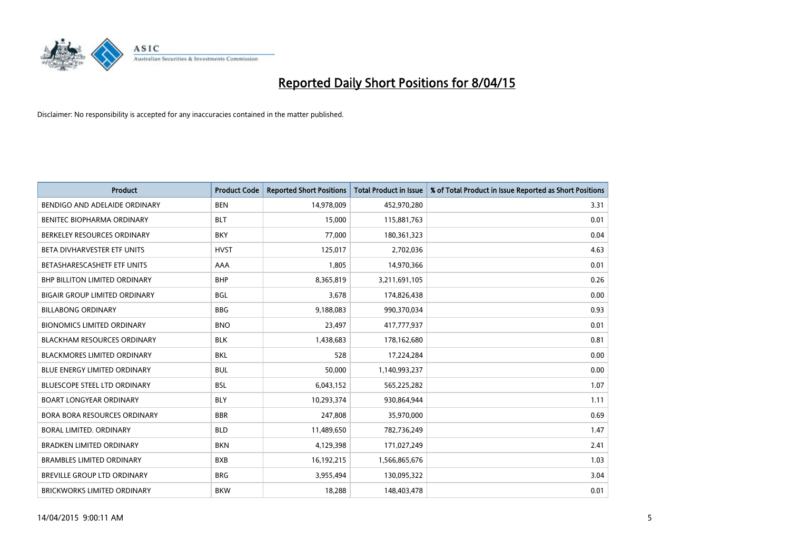

| <b>Product</b>                       | <b>Product Code</b> | <b>Reported Short Positions</b> | <b>Total Product in Issue</b> | % of Total Product in Issue Reported as Short Positions |
|--------------------------------------|---------------------|---------------------------------|-------------------------------|---------------------------------------------------------|
| BENDIGO AND ADELAIDE ORDINARY        | <b>BEN</b>          | 14,978,009                      | 452,970,280                   | 3.31                                                    |
| BENITEC BIOPHARMA ORDINARY           | <b>BLT</b>          | 15,000                          | 115,881,763                   | 0.01                                                    |
| BERKELEY RESOURCES ORDINARY          | <b>BKY</b>          | 77,000                          | 180,361,323                   | 0.04                                                    |
| BETA DIVHARVESTER ETF UNITS          | <b>HVST</b>         | 125,017                         | 2,702,036                     | 4.63                                                    |
| BETASHARESCASHETF ETF UNITS          | AAA                 | 1,805                           | 14,970,366                    | 0.01                                                    |
| BHP BILLITON LIMITED ORDINARY        | <b>BHP</b>          | 8,365,819                       | 3,211,691,105                 | 0.26                                                    |
| <b>BIGAIR GROUP LIMITED ORDINARY</b> | <b>BGL</b>          | 3,678                           | 174,826,438                   | 0.00                                                    |
| <b>BILLABONG ORDINARY</b>            | <b>BBG</b>          | 9,188,083                       | 990,370,034                   | 0.93                                                    |
| <b>BIONOMICS LIMITED ORDINARY</b>    | <b>BNO</b>          | 23,497                          | 417,777,937                   | 0.01                                                    |
| <b>BLACKHAM RESOURCES ORDINARY</b>   | <b>BLK</b>          | 1,438,683                       | 178,162,680                   | 0.81                                                    |
| BLACKMORES LIMITED ORDINARY          | <b>BKL</b>          | 528                             | 17,224,284                    | 0.00                                                    |
| <b>BLUE ENERGY LIMITED ORDINARY</b>  | <b>BUL</b>          | 50,000                          | 1,140,993,237                 | 0.00                                                    |
| <b>BLUESCOPE STEEL LTD ORDINARY</b>  | <b>BSL</b>          | 6,043,152                       | 565,225,282                   | 1.07                                                    |
| <b>BOART LONGYEAR ORDINARY</b>       | <b>BLY</b>          | 10,293,374                      | 930,864,944                   | 1.11                                                    |
| <b>BORA BORA RESOURCES ORDINARY</b>  | <b>BBR</b>          | 247,808                         | 35,970,000                    | 0.69                                                    |
| BORAL LIMITED. ORDINARY              | <b>BLD</b>          | 11,489,650                      | 782,736,249                   | 1.47                                                    |
| <b>BRADKEN LIMITED ORDINARY</b>      | <b>BKN</b>          | 4,129,398                       | 171,027,249                   | 2.41                                                    |
| <b>BRAMBLES LIMITED ORDINARY</b>     | <b>BXB</b>          | 16,192,215                      | 1,566,865,676                 | 1.03                                                    |
| <b>BREVILLE GROUP LTD ORDINARY</b>   | <b>BRG</b>          | 3,955,494                       | 130,095,322                   | 3.04                                                    |
| <b>BRICKWORKS LIMITED ORDINARY</b>   | <b>BKW</b>          | 18,288                          | 148,403,478                   | 0.01                                                    |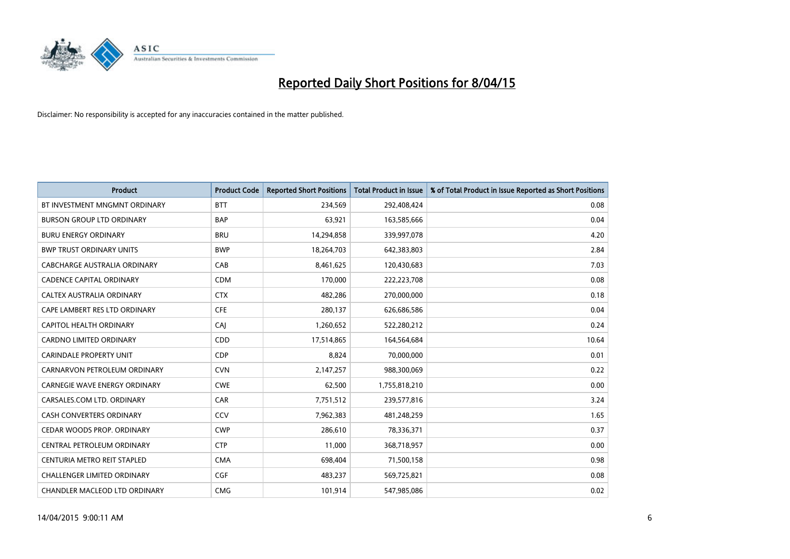

| <b>Product</b>                       | <b>Product Code</b> | <b>Reported Short Positions</b> | <b>Total Product in Issue</b> | % of Total Product in Issue Reported as Short Positions |
|--------------------------------------|---------------------|---------------------------------|-------------------------------|---------------------------------------------------------|
| BT INVESTMENT MNGMNT ORDINARY        | <b>BTT</b>          | 234,569                         | 292,408,424                   | 0.08                                                    |
| <b>BURSON GROUP LTD ORDINARY</b>     | <b>BAP</b>          | 63,921                          | 163,585,666                   | 0.04                                                    |
| <b>BURU ENERGY ORDINARY</b>          | <b>BRU</b>          | 14,294,858                      | 339,997,078                   | 4.20                                                    |
| <b>BWP TRUST ORDINARY UNITS</b>      | <b>BWP</b>          | 18,264,703                      | 642,383,803                   | 2.84                                                    |
| CABCHARGE AUSTRALIA ORDINARY         | CAB                 | 8,461,625                       | 120,430,683                   | 7.03                                                    |
| <b>CADENCE CAPITAL ORDINARY</b>      | <b>CDM</b>          | 170,000                         | 222,223,708                   | 0.08                                                    |
| CALTEX AUSTRALIA ORDINARY            | <b>CTX</b>          | 482,286                         | 270,000,000                   | 0.18                                                    |
| CAPE LAMBERT RES LTD ORDINARY        | <b>CFE</b>          | 280,137                         | 626,686,586                   | 0.04                                                    |
| CAPITOL HEALTH ORDINARY              | CAI                 | 1,260,652                       | 522,280,212                   | 0.24                                                    |
| <b>CARDNO LIMITED ORDINARY</b>       | CDD                 | 17,514,865                      | 164,564,684                   | 10.64                                                   |
| CARINDALE PROPERTY UNIT              | <b>CDP</b>          | 8,824                           | 70,000,000                    | 0.01                                                    |
| CARNARVON PETROLEUM ORDINARY         | <b>CVN</b>          | 2,147,257                       | 988,300,069                   | 0.22                                                    |
| <b>CARNEGIE WAVE ENERGY ORDINARY</b> | <b>CWE</b>          | 62,500                          | 1,755,818,210                 | 0.00                                                    |
| CARSALES.COM LTD. ORDINARY           | CAR                 | 7,751,512                       | 239,577,816                   | 3.24                                                    |
| <b>CASH CONVERTERS ORDINARY</b>      | CCV                 | 7,962,383                       | 481,248,259                   | 1.65                                                    |
| CEDAR WOODS PROP. ORDINARY           | <b>CWP</b>          | 286,610                         | 78,336,371                    | 0.37                                                    |
| <b>CENTRAL PETROLEUM ORDINARY</b>    | <b>CTP</b>          | 11,000                          | 368,718,957                   | 0.00                                                    |
| CENTURIA METRO REIT STAPLED          | <b>CMA</b>          | 698,404                         | 71,500,158                    | 0.98                                                    |
| <b>CHALLENGER LIMITED ORDINARY</b>   | <b>CGF</b>          | 483,237                         | 569,725,821                   | 0.08                                                    |
| CHANDLER MACLEOD LTD ORDINARY        | <b>CMG</b>          | 101,914                         | 547,985,086                   | 0.02                                                    |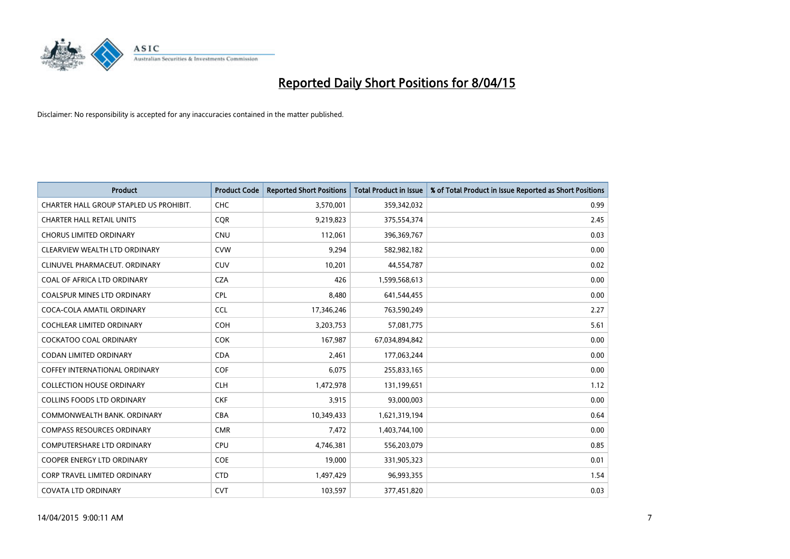

| <b>Product</b>                          | <b>Product Code</b> | <b>Reported Short Positions</b> | <b>Total Product in Issue</b> | % of Total Product in Issue Reported as Short Positions |
|-----------------------------------------|---------------------|---------------------------------|-------------------------------|---------------------------------------------------------|
| CHARTER HALL GROUP STAPLED US PROHIBIT. | <b>CHC</b>          | 3,570,001                       | 359,342,032                   | 0.99                                                    |
| <b>CHARTER HALL RETAIL UNITS</b>        | <b>CQR</b>          | 9,219,823                       | 375,554,374                   | 2.45                                                    |
| <b>CHORUS LIMITED ORDINARY</b>          | <b>CNU</b>          | 112,061                         | 396,369,767                   | 0.03                                                    |
| CLEARVIEW WEALTH LTD ORDINARY           | <b>CVW</b>          | 9,294                           | 582,982,182                   | 0.00                                                    |
| CLINUVEL PHARMACEUT, ORDINARY           | <b>CUV</b>          | 10,201                          | 44,554,787                    | 0.02                                                    |
| COAL OF AFRICA LTD ORDINARY             | <b>CZA</b>          | 426                             | 1,599,568,613                 | 0.00                                                    |
| COALSPUR MINES LTD ORDINARY             | <b>CPL</b>          | 8,480                           | 641,544,455                   | 0.00                                                    |
| COCA-COLA AMATIL ORDINARY               | <b>CCL</b>          | 17,346,246                      | 763,590,249                   | 2.27                                                    |
| <b>COCHLEAR LIMITED ORDINARY</b>        | <b>COH</b>          | 3,203,753                       | 57,081,775                    | 5.61                                                    |
| <b>COCKATOO COAL ORDINARY</b>           | <b>COK</b>          | 167,987                         | 67,034,894,842                | 0.00                                                    |
| CODAN LIMITED ORDINARY                  | <b>CDA</b>          | 2,461                           | 177,063,244                   | 0.00                                                    |
| <b>COFFEY INTERNATIONAL ORDINARY</b>    | <b>COF</b>          | 6,075                           | 255,833,165                   | 0.00                                                    |
| <b>COLLECTION HOUSE ORDINARY</b>        | <b>CLH</b>          | 1,472,978                       | 131,199,651                   | 1.12                                                    |
| <b>COLLINS FOODS LTD ORDINARY</b>       | <b>CKF</b>          | 3,915                           | 93,000,003                    | 0.00                                                    |
| COMMONWEALTH BANK, ORDINARY             | <b>CBA</b>          | 10,349,433                      | 1,621,319,194                 | 0.64                                                    |
| <b>COMPASS RESOURCES ORDINARY</b>       | <b>CMR</b>          | 7,472                           | 1,403,744,100                 | 0.00                                                    |
| COMPUTERSHARE LTD ORDINARY              | <b>CPU</b>          | 4,746,381                       | 556,203,079                   | 0.85                                                    |
| <b>COOPER ENERGY LTD ORDINARY</b>       | <b>COE</b>          | 19,000                          | 331,905,323                   | 0.01                                                    |
| <b>CORP TRAVEL LIMITED ORDINARY</b>     | <b>CTD</b>          | 1,497,429                       | 96,993,355                    | 1.54                                                    |
| <b>COVATA LTD ORDINARY</b>              | <b>CVT</b>          | 103,597                         | 377,451,820                   | 0.03                                                    |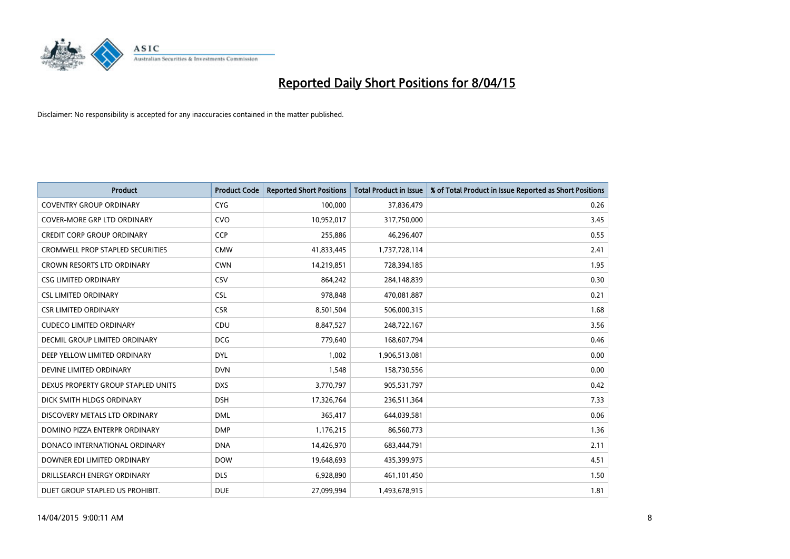

| <b>Product</b>                          | <b>Product Code</b> | <b>Reported Short Positions</b> | <b>Total Product in Issue</b> | % of Total Product in Issue Reported as Short Positions |
|-----------------------------------------|---------------------|---------------------------------|-------------------------------|---------------------------------------------------------|
| <b>COVENTRY GROUP ORDINARY</b>          | <b>CYG</b>          | 100,000                         | 37,836,479                    | 0.26                                                    |
| <b>COVER-MORE GRP LTD ORDINARY</b>      | <b>CVO</b>          | 10,952,017                      | 317,750,000                   | 3.45                                                    |
| <b>CREDIT CORP GROUP ORDINARY</b>       | <b>CCP</b>          | 255,886                         | 46,296,407                    | 0.55                                                    |
| <b>CROMWELL PROP STAPLED SECURITIES</b> | <b>CMW</b>          | 41,833,445                      | 1,737,728,114                 | 2.41                                                    |
| <b>CROWN RESORTS LTD ORDINARY</b>       | <b>CWN</b>          | 14,219,851                      | 728,394,185                   | 1.95                                                    |
| <b>CSG LIMITED ORDINARY</b>             | CSV                 | 864,242                         | 284,148,839                   | 0.30                                                    |
| <b>CSL LIMITED ORDINARY</b>             | <b>CSL</b>          | 978,848                         | 470,081,887                   | 0.21                                                    |
| <b>CSR LIMITED ORDINARY</b>             | <b>CSR</b>          | 8,501,504                       | 506,000,315                   | 1.68                                                    |
| <b>CUDECO LIMITED ORDINARY</b>          | CDU                 | 8,847,527                       | 248,722,167                   | 3.56                                                    |
| <b>DECMIL GROUP LIMITED ORDINARY</b>    | <b>DCG</b>          | 779,640                         | 168,607,794                   | 0.46                                                    |
| DEEP YELLOW LIMITED ORDINARY            | <b>DYL</b>          | 1,002                           | 1,906,513,081                 | 0.00                                                    |
| DEVINE LIMITED ORDINARY                 | <b>DVN</b>          | 1,548                           | 158,730,556                   | 0.00                                                    |
| DEXUS PROPERTY GROUP STAPLED UNITS      | <b>DXS</b>          | 3,770,797                       | 905,531,797                   | 0.42                                                    |
| DICK SMITH HLDGS ORDINARY               | <b>DSH</b>          | 17,326,764                      | 236,511,364                   | 7.33                                                    |
| DISCOVERY METALS LTD ORDINARY           | <b>DML</b>          | 365,417                         | 644,039,581                   | 0.06                                                    |
| DOMINO PIZZA ENTERPR ORDINARY           | <b>DMP</b>          | 1,176,215                       | 86,560,773                    | 1.36                                                    |
| DONACO INTERNATIONAL ORDINARY           | <b>DNA</b>          | 14,426,970                      | 683,444,791                   | 2.11                                                    |
| DOWNER EDI LIMITED ORDINARY             | <b>DOW</b>          | 19,648,693                      | 435,399,975                   | 4.51                                                    |
| DRILLSEARCH ENERGY ORDINARY             | <b>DLS</b>          | 6,928,890                       | 461,101,450                   | 1.50                                                    |
| DUET GROUP STAPLED US PROHIBIT.         | <b>DUE</b>          | 27,099,994                      | 1,493,678,915                 | 1.81                                                    |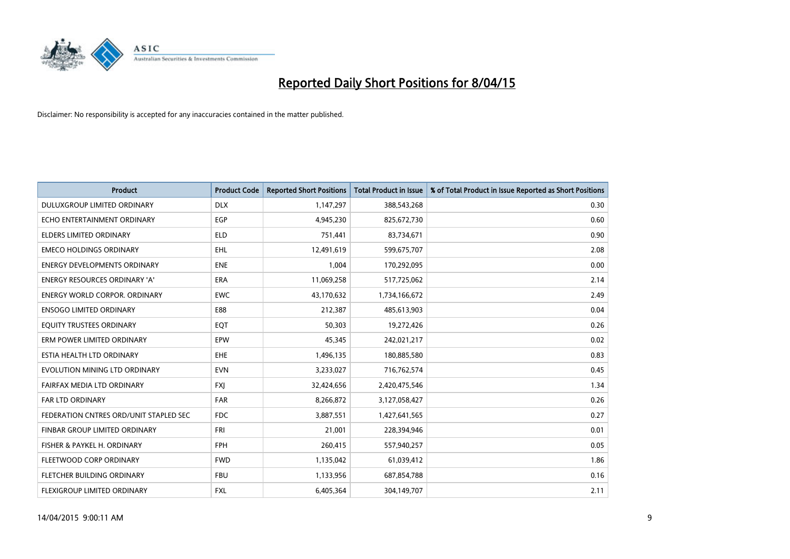

| <b>Product</b>                         | <b>Product Code</b> | <b>Reported Short Positions</b> | <b>Total Product in Issue</b> | % of Total Product in Issue Reported as Short Positions |
|----------------------------------------|---------------------|---------------------------------|-------------------------------|---------------------------------------------------------|
| DULUXGROUP LIMITED ORDINARY            | <b>DLX</b>          | 1,147,297                       | 388,543,268                   | 0.30                                                    |
| ECHO ENTERTAINMENT ORDINARY            | <b>EGP</b>          | 4,945,230                       | 825,672,730                   | 0.60                                                    |
| <b>ELDERS LIMITED ORDINARY</b>         | <b>ELD</b>          | 751,441                         | 83,734,671                    | 0.90                                                    |
| <b>EMECO HOLDINGS ORDINARY</b>         | <b>EHL</b>          | 12,491,619                      | 599,675,707                   | 2.08                                                    |
| <b>ENERGY DEVELOPMENTS ORDINARY</b>    | <b>ENE</b>          | 1,004                           | 170,292,095                   | 0.00                                                    |
| <b>ENERGY RESOURCES ORDINARY 'A'</b>   | <b>ERA</b>          | 11,069,258                      | 517,725,062                   | 2.14                                                    |
| <b>ENERGY WORLD CORPOR. ORDINARY</b>   | <b>EWC</b>          | 43,170,632                      | 1,734,166,672                 | 2.49                                                    |
| <b>ENSOGO LIMITED ORDINARY</b>         | E88                 | 212,387                         | 485,613,903                   | 0.04                                                    |
| EQUITY TRUSTEES ORDINARY               | EQT                 | 50,303                          | 19,272,426                    | 0.26                                                    |
| ERM POWER LIMITED ORDINARY             | <b>EPW</b>          | 45,345                          | 242,021,217                   | 0.02                                                    |
| ESTIA HEALTH LTD ORDINARY              | <b>EHE</b>          | 1,496,135                       | 180,885,580                   | 0.83                                                    |
| EVOLUTION MINING LTD ORDINARY          | <b>EVN</b>          | 3,233,027                       | 716,762,574                   | 0.45                                                    |
| FAIRFAX MEDIA LTD ORDINARY             | <b>FXI</b>          | 32,424,656                      | 2,420,475,546                 | 1.34                                                    |
| <b>FAR LTD ORDINARY</b>                | FAR                 | 8,266,872                       | 3,127,058,427                 | 0.26                                                    |
| FEDERATION CNTRES ORD/UNIT STAPLED SEC | <b>FDC</b>          | 3,887,551                       | 1,427,641,565                 | 0.27                                                    |
| FINBAR GROUP LIMITED ORDINARY          | <b>FRI</b>          | 21,001                          | 228,394,946                   | 0.01                                                    |
| FISHER & PAYKEL H. ORDINARY            | FPH                 | 260,415                         | 557,940,257                   | 0.05                                                    |
| FLEETWOOD CORP ORDINARY                | <b>FWD</b>          | 1,135,042                       | 61,039,412                    | 1.86                                                    |
| FLETCHER BUILDING ORDINARY             | <b>FBU</b>          | 1,133,956                       | 687,854,788                   | 0.16                                                    |
| FLEXIGROUP LIMITED ORDINARY            | FXL                 | 6,405,364                       | 304,149,707                   | 2.11                                                    |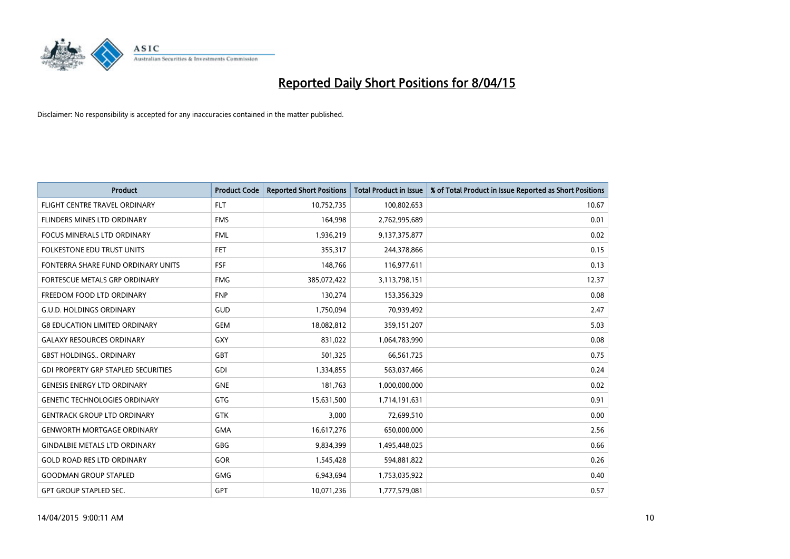

| <b>Product</b>                             | <b>Product Code</b> | <b>Reported Short Positions</b> | <b>Total Product in Issue</b> | % of Total Product in Issue Reported as Short Positions |
|--------------------------------------------|---------------------|---------------------------------|-------------------------------|---------------------------------------------------------|
| FLIGHT CENTRE TRAVEL ORDINARY              | <b>FLT</b>          | 10,752,735                      | 100,802,653                   | 10.67                                                   |
| FLINDERS MINES LTD ORDINARY                | <b>FMS</b>          | 164,998                         | 2,762,995,689                 | 0.01                                                    |
| <b>FOCUS MINERALS LTD ORDINARY</b>         | <b>FML</b>          | 1,936,219                       | 9,137,375,877                 | 0.02                                                    |
| FOLKESTONE EDU TRUST UNITS                 | <b>FET</b>          | 355,317                         | 244,378,866                   | 0.15                                                    |
| FONTERRA SHARE FUND ORDINARY UNITS         | <b>FSF</b>          | 148,766                         | 116,977,611                   | 0.13                                                    |
| FORTESCUE METALS GRP ORDINARY              | <b>FMG</b>          | 385,072,422                     | 3,113,798,151                 | 12.37                                                   |
| FREEDOM FOOD LTD ORDINARY                  | <b>FNP</b>          | 130,274                         | 153,356,329                   | 0.08                                                    |
| <b>G.U.D. HOLDINGS ORDINARY</b>            | GUD                 | 1,750,094                       | 70,939,492                    | 2.47                                                    |
| <b>G8 EDUCATION LIMITED ORDINARY</b>       | <b>GEM</b>          | 18,082,812                      | 359,151,207                   | 5.03                                                    |
| <b>GALAXY RESOURCES ORDINARY</b>           | <b>GXY</b>          | 831,022                         | 1,064,783,990                 | 0.08                                                    |
| <b>GBST HOLDINGS ORDINARY</b>              | GBT                 | 501,325                         | 66,561,725                    | 0.75                                                    |
| <b>GDI PROPERTY GRP STAPLED SECURITIES</b> | GDI                 | 1,334,855                       | 563,037,466                   | 0.24                                                    |
| <b>GENESIS ENERGY LTD ORDINARY</b>         | <b>GNE</b>          | 181,763                         | 1,000,000,000                 | 0.02                                                    |
| <b>GENETIC TECHNOLOGIES ORDINARY</b>       | GTG                 | 15,631,500                      | 1,714,191,631                 | 0.91                                                    |
| <b>GENTRACK GROUP LTD ORDINARY</b>         | <b>GTK</b>          | 3,000                           | 72,699,510                    | 0.00                                                    |
| <b>GENWORTH MORTGAGE ORDINARY</b>          | <b>GMA</b>          | 16,617,276                      | 650,000,000                   | 2.56                                                    |
| <b>GINDALBIE METALS LTD ORDINARY</b>       | GBG                 | 9,834,399                       | 1,495,448,025                 | 0.66                                                    |
| <b>GOLD ROAD RES LTD ORDINARY</b>          | GOR                 | 1,545,428                       | 594,881,822                   | 0.26                                                    |
| <b>GOODMAN GROUP STAPLED</b>               | <b>GMG</b>          | 6,943,694                       | 1,753,035,922                 | 0.40                                                    |
| <b>GPT GROUP STAPLED SEC.</b>              | GPT                 | 10,071,236                      | 1,777,579,081                 | 0.57                                                    |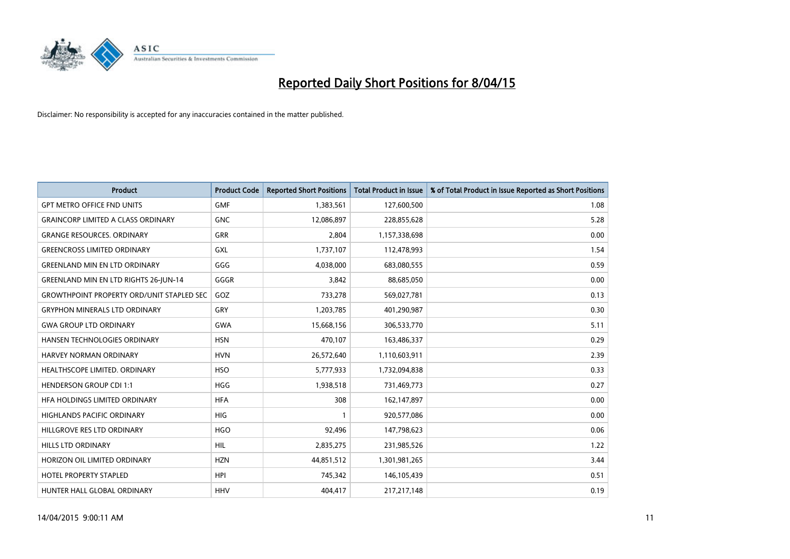

| <b>Product</b>                                   | <b>Product Code</b> | <b>Reported Short Positions</b> | <b>Total Product in Issue</b> | % of Total Product in Issue Reported as Short Positions |
|--------------------------------------------------|---------------------|---------------------------------|-------------------------------|---------------------------------------------------------|
| <b>GPT METRO OFFICE FND UNITS</b>                | <b>GMF</b>          | 1,383,561                       | 127,600,500                   | 1.08                                                    |
| <b>GRAINCORP LIMITED A CLASS ORDINARY</b>        | <b>GNC</b>          | 12,086,897                      | 228,855,628                   | 5.28                                                    |
| <b>GRANGE RESOURCES. ORDINARY</b>                | <b>GRR</b>          | 2,804                           | 1,157,338,698                 | 0.00                                                    |
| <b>GREENCROSS LIMITED ORDINARY</b>               | <b>GXL</b>          | 1,737,107                       | 112,478,993                   | 1.54                                                    |
| <b>GREENLAND MIN EN LTD ORDINARY</b>             | GGG                 | 4,038,000                       | 683,080,555                   | 0.59                                                    |
| GREENLAND MIN EN LTD RIGHTS 26-JUN-14            | GGGR                | 3,842                           | 88,685,050                    | 0.00                                                    |
| <b>GROWTHPOINT PROPERTY ORD/UNIT STAPLED SEC</b> | GOZ                 | 733,278                         | 569,027,781                   | 0.13                                                    |
| <b>GRYPHON MINERALS LTD ORDINARY</b>             | GRY                 | 1,203,785                       | 401,290,987                   | 0.30                                                    |
| <b>GWA GROUP LTD ORDINARY</b>                    | <b>GWA</b>          | 15,668,156                      | 306,533,770                   | 5.11                                                    |
| HANSEN TECHNOLOGIES ORDINARY                     | <b>HSN</b>          | 470,107                         | 163,486,337                   | 0.29                                                    |
| HARVEY NORMAN ORDINARY                           | <b>HVN</b>          | 26,572,640                      | 1,110,603,911                 | 2.39                                                    |
| HEALTHSCOPE LIMITED. ORDINARY                    | <b>HSO</b>          | 5,777,933                       | 1,732,094,838                 | 0.33                                                    |
| <b>HENDERSON GROUP CDI 1:1</b>                   | <b>HGG</b>          | 1,938,518                       | 731,469,773                   | 0.27                                                    |
| HFA HOLDINGS LIMITED ORDINARY                    | <b>HFA</b>          | 308                             | 162,147,897                   | 0.00                                                    |
| <b>HIGHLANDS PACIFIC ORDINARY</b>                | <b>HIG</b>          | 1                               | 920,577,086                   | 0.00                                                    |
| HILLGROVE RES LTD ORDINARY                       | <b>HGO</b>          | 92,496                          | 147,798,623                   | 0.06                                                    |
| HILLS LTD ORDINARY                               | <b>HIL</b>          | 2,835,275                       | 231,985,526                   | 1.22                                                    |
| HORIZON OIL LIMITED ORDINARY                     | <b>HZN</b>          | 44,851,512                      | 1,301,981,265                 | 3.44                                                    |
| <b>HOTEL PROPERTY STAPLED</b>                    | <b>HPI</b>          | 745,342                         | 146,105,439                   | 0.51                                                    |
| HUNTER HALL GLOBAL ORDINARY                      | <b>HHV</b>          | 404,417                         | 217,217,148                   | 0.19                                                    |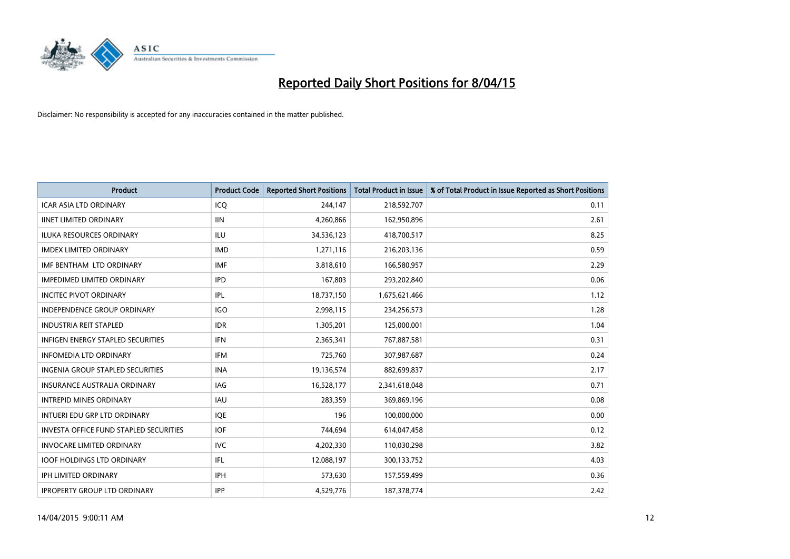

| <b>Product</b>                          | <b>Product Code</b> | <b>Reported Short Positions</b> | <b>Total Product in Issue</b> | % of Total Product in Issue Reported as Short Positions |
|-----------------------------------------|---------------------|---------------------------------|-------------------------------|---------------------------------------------------------|
| <b>ICAR ASIA LTD ORDINARY</b>           | ICQ                 | 244,147                         | 218,592,707                   | 0.11                                                    |
| <b>IINET LIMITED ORDINARY</b>           | <b>IIN</b>          | 4,260,866                       | 162,950,896                   | 2.61                                                    |
| <b>ILUKA RESOURCES ORDINARY</b>         | ILU                 | 34,536,123                      | 418,700,517                   | 8.25                                                    |
| <b>IMDEX LIMITED ORDINARY</b>           | <b>IMD</b>          | 1,271,116                       | 216,203,136                   | 0.59                                                    |
| IMF BENTHAM LTD ORDINARY                | <b>IMF</b>          | 3,818,610                       | 166,580,957                   | 2.29                                                    |
| <b>IMPEDIMED LIMITED ORDINARY</b>       | <b>IPD</b>          | 167,803                         | 293,202,840                   | 0.06                                                    |
| <b>INCITEC PIVOT ORDINARY</b>           | <b>IPL</b>          | 18,737,150                      | 1,675,621,466                 | 1.12                                                    |
| <b>INDEPENDENCE GROUP ORDINARY</b>      | <b>IGO</b>          | 2,998,115                       | 234,256,573                   | 1.28                                                    |
| <b>INDUSTRIA REIT STAPLED</b>           | <b>IDR</b>          | 1,305,201                       | 125,000,001                   | 1.04                                                    |
| INFIGEN ENERGY STAPLED SECURITIES       | <b>IFN</b>          | 2,365,341                       | 767,887,581                   | 0.31                                                    |
| <b>INFOMEDIA LTD ORDINARY</b>           | <b>IFM</b>          | 725,760                         | 307,987,687                   | 0.24                                                    |
| <b>INGENIA GROUP STAPLED SECURITIES</b> | <b>INA</b>          | 19,136,574                      | 882,699,837                   | 2.17                                                    |
| <b>INSURANCE AUSTRALIA ORDINARY</b>     | IAG                 | 16,528,177                      | 2,341,618,048                 | 0.71                                                    |
| <b>INTREPID MINES ORDINARY</b>          | <b>IAU</b>          | 283,359                         | 369,869,196                   | 0.08                                                    |
| INTUERI EDU GRP LTD ORDINARY            | IQE                 | 196                             | 100,000,000                   | 0.00                                                    |
| INVESTA OFFICE FUND STAPLED SECURITIES  | <b>IOF</b>          | 744,694                         | 614,047,458                   | 0.12                                                    |
| <b>INVOCARE LIMITED ORDINARY</b>        | <b>IVC</b>          | 4,202,330                       | 110,030,298                   | 3.82                                                    |
| <b>IOOF HOLDINGS LTD ORDINARY</b>       | IFL                 | 12,088,197                      | 300,133,752                   | 4.03                                                    |
| <b>IPH LIMITED ORDINARY</b>             | <b>IPH</b>          | 573,630                         | 157,559,499                   | 0.36                                                    |
| <b>IPROPERTY GROUP LTD ORDINARY</b>     | <b>IPP</b>          | 4,529,776                       | 187,378,774                   | 2.42                                                    |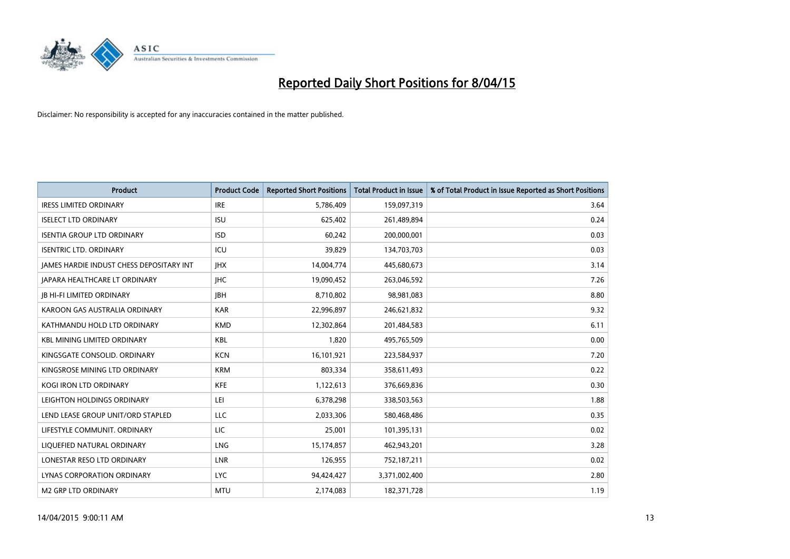

| <b>Product</b>                           | <b>Product Code</b> | <b>Reported Short Positions</b> | <b>Total Product in Issue</b> | % of Total Product in Issue Reported as Short Positions |
|------------------------------------------|---------------------|---------------------------------|-------------------------------|---------------------------------------------------------|
| <b>IRESS LIMITED ORDINARY</b>            | <b>IRE</b>          | 5,786,409                       | 159,097,319                   | 3.64                                                    |
| <b>ISELECT LTD ORDINARY</b>              | <b>ISU</b>          | 625,402                         | 261,489,894                   | 0.24                                                    |
| <b>ISENTIA GROUP LTD ORDINARY</b>        | <b>ISD</b>          | 60,242                          | 200,000,001                   | 0.03                                                    |
| <b>ISENTRIC LTD. ORDINARY</b>            | ICU                 | 39,829                          | 134,703,703                   | 0.03                                                    |
| JAMES HARDIE INDUST CHESS DEPOSITARY INT | <b>IHX</b>          | 14,004,774                      | 445,680,673                   | 3.14                                                    |
| <b>JAPARA HEALTHCARE LT ORDINARY</b>     | <b>IHC</b>          | 19,090,452                      | 263,046,592                   | 7.26                                                    |
| <b>JB HI-FI LIMITED ORDINARY</b>         | <b>IBH</b>          | 8,710,802                       | 98,981,083                    | 8.80                                                    |
| KAROON GAS AUSTRALIA ORDINARY            | <b>KAR</b>          | 22,996,897                      | 246,621,832                   | 9.32                                                    |
| KATHMANDU HOLD LTD ORDINARY              | <b>KMD</b>          | 12,302,864                      | 201,484,583                   | 6.11                                                    |
| <b>KBL MINING LIMITED ORDINARY</b>       | <b>KBL</b>          | 1,820                           | 495,765,509                   | 0.00                                                    |
| KINGSGATE CONSOLID. ORDINARY             | <b>KCN</b>          | 16,101,921                      | 223,584,937                   | 7.20                                                    |
| KINGSROSE MINING LTD ORDINARY            | <b>KRM</b>          | 803,334                         | 358,611,493                   | 0.22                                                    |
| KOGI IRON LTD ORDINARY                   | KFE                 | 1,122,613                       | 376,669,836                   | 0.30                                                    |
| LEIGHTON HOLDINGS ORDINARY               | LEI                 | 6,378,298                       | 338,503,563                   | 1.88                                                    |
| LEND LEASE GROUP UNIT/ORD STAPLED        | <b>LLC</b>          | 2,033,306                       | 580,468,486                   | 0.35                                                    |
| LIFESTYLE COMMUNIT. ORDINARY             | LIC                 | 25,001                          | 101,395,131                   | 0.02                                                    |
| LIQUEFIED NATURAL ORDINARY               | LNG                 | 15,174,857                      | 462,943,201                   | 3.28                                                    |
| LONESTAR RESO LTD ORDINARY               | <b>LNR</b>          | 126,955                         | 752,187,211                   | 0.02                                                    |
| LYNAS CORPORATION ORDINARY               | <b>LYC</b>          | 94,424,427                      | 3,371,002,400                 | 2.80                                                    |
| <b>M2 GRP LTD ORDINARY</b>               | <b>MTU</b>          | 2,174,083                       | 182,371,728                   | 1.19                                                    |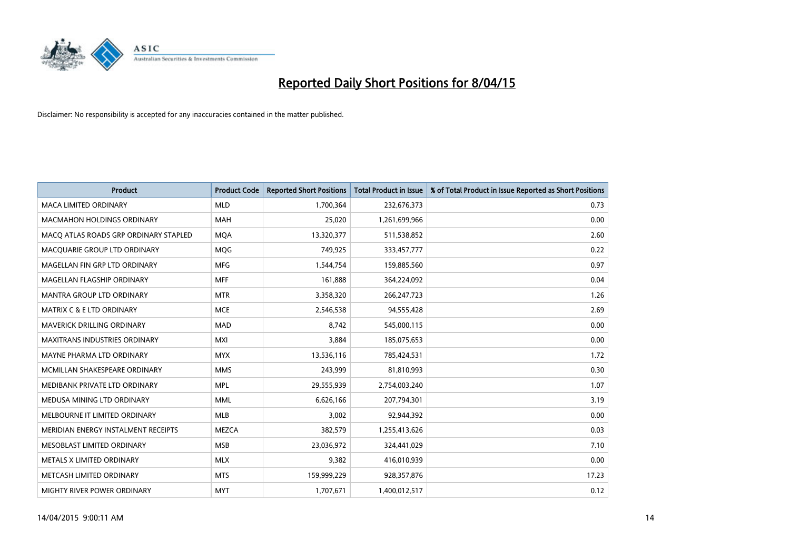

| <b>Product</b>                        | <b>Product Code</b> | <b>Reported Short Positions</b> | <b>Total Product in Issue</b> | % of Total Product in Issue Reported as Short Positions |
|---------------------------------------|---------------------|---------------------------------|-------------------------------|---------------------------------------------------------|
| <b>MACA LIMITED ORDINARY</b>          | <b>MLD</b>          | 1,700,364                       | 232,676,373                   | 0.73                                                    |
| MACMAHON HOLDINGS ORDINARY            | <b>MAH</b>          | 25,020                          | 1,261,699,966                 | 0.00                                                    |
| MACO ATLAS ROADS GRP ORDINARY STAPLED | <b>MQA</b>          | 13,320,377                      | 511,538,852                   | 2.60                                                    |
| MACQUARIE GROUP LTD ORDINARY          | <b>MOG</b>          | 749,925                         | 333,457,777                   | 0.22                                                    |
| MAGELLAN FIN GRP LTD ORDINARY         | <b>MFG</b>          | 1,544,754                       | 159,885,560                   | 0.97                                                    |
| MAGELLAN FLAGSHIP ORDINARY            | <b>MFF</b>          | 161,888                         | 364,224,092                   | 0.04                                                    |
| MANTRA GROUP LTD ORDINARY             | <b>MTR</b>          | 3,358,320                       | 266, 247, 723                 | 1.26                                                    |
| MATRIX C & E LTD ORDINARY             | <b>MCE</b>          | 2,546,538                       | 94,555,428                    | 2.69                                                    |
| MAVERICK DRILLING ORDINARY            | <b>MAD</b>          | 8,742                           | 545,000,115                   | 0.00                                                    |
| <b>MAXITRANS INDUSTRIES ORDINARY</b>  | <b>MXI</b>          | 3,884                           | 185,075,653                   | 0.00                                                    |
| MAYNE PHARMA LTD ORDINARY             | <b>MYX</b>          | 13,536,116                      | 785,424,531                   | 1.72                                                    |
| MCMILLAN SHAKESPEARE ORDINARY         | <b>MMS</b>          | 243,999                         | 81,810,993                    | 0.30                                                    |
| MEDIBANK PRIVATE LTD ORDINARY         | <b>MPL</b>          | 29,555,939                      | 2,754,003,240                 | 1.07                                                    |
| MEDUSA MINING LTD ORDINARY            | <b>MML</b>          | 6,626,166                       | 207,794,301                   | 3.19                                                    |
| MELBOURNE IT LIMITED ORDINARY         | <b>MLB</b>          | 3,002                           | 92,944,392                    | 0.00                                                    |
| MERIDIAN ENERGY INSTALMENT RECEIPTS   | <b>MEZCA</b>        | 382,579                         | 1,255,413,626                 | 0.03                                                    |
| MESOBLAST LIMITED ORDINARY            | <b>MSB</b>          | 23,036,972                      | 324,441,029                   | 7.10                                                    |
| METALS X LIMITED ORDINARY             | <b>MLX</b>          | 9,382                           | 416,010,939                   | 0.00                                                    |
| METCASH LIMITED ORDINARY              | <b>MTS</b>          | 159,999,229                     | 928,357,876                   | 17.23                                                   |
| MIGHTY RIVER POWER ORDINARY           | <b>MYT</b>          | 1,707,671                       | 1,400,012,517                 | 0.12                                                    |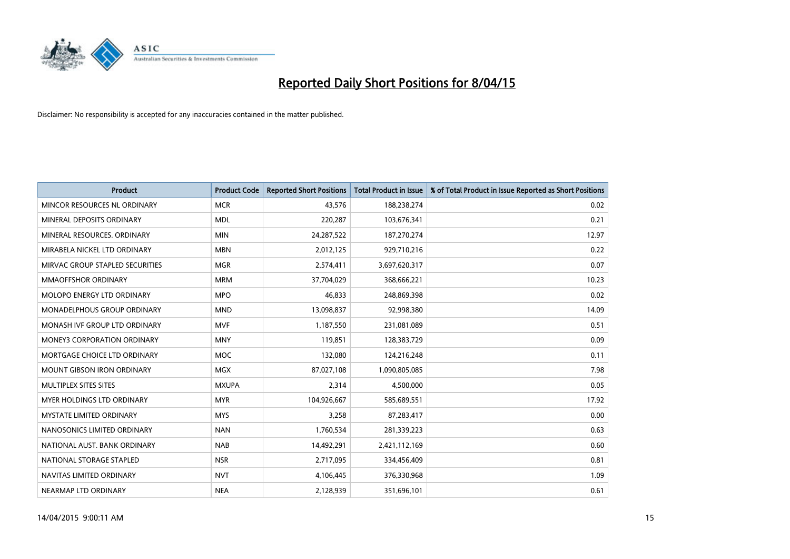

| <b>Product</b>                     | <b>Product Code</b> | <b>Reported Short Positions</b> | <b>Total Product in Issue</b> | % of Total Product in Issue Reported as Short Positions |
|------------------------------------|---------------------|---------------------------------|-------------------------------|---------------------------------------------------------|
| MINCOR RESOURCES NL ORDINARY       | <b>MCR</b>          | 43,576                          | 188,238,274                   | 0.02                                                    |
| MINERAL DEPOSITS ORDINARY          | <b>MDL</b>          | 220,287                         | 103,676,341                   | 0.21                                                    |
| MINERAL RESOURCES, ORDINARY        | <b>MIN</b>          | 24,287,522                      | 187,270,274                   | 12.97                                                   |
| MIRABELA NICKEL LTD ORDINARY       | <b>MBN</b>          | 2,012,125                       | 929,710,216                   | 0.22                                                    |
| MIRVAC GROUP STAPLED SECURITIES    | <b>MGR</b>          | 2,574,411                       | 3,697,620,317                 | 0.07                                                    |
| <b>MMAOFFSHOR ORDINARY</b>         | <b>MRM</b>          | 37,704,029                      | 368,666,221                   | 10.23                                                   |
| MOLOPO ENERGY LTD ORDINARY         | <b>MPO</b>          | 46,833                          | 248,869,398                   | 0.02                                                    |
| MONADELPHOUS GROUP ORDINARY        | <b>MND</b>          | 13,098,837                      | 92,998,380                    | 14.09                                                   |
| MONASH IVF GROUP LTD ORDINARY      | <b>MVF</b>          | 1,187,550                       | 231,081,089                   | 0.51                                                    |
| <b>MONEY3 CORPORATION ORDINARY</b> | <b>MNY</b>          | 119,851                         | 128,383,729                   | 0.09                                                    |
| MORTGAGE CHOICE LTD ORDINARY       | MOC                 | 132,080                         | 124,216,248                   | 0.11                                                    |
| <b>MOUNT GIBSON IRON ORDINARY</b>  | <b>MGX</b>          | 87,027,108                      | 1,090,805,085                 | 7.98                                                    |
| MULTIPLEX SITES SITES              | <b>MXUPA</b>        | 2,314                           | 4,500,000                     | 0.05                                                    |
| MYER HOLDINGS LTD ORDINARY         | <b>MYR</b>          | 104,926,667                     | 585,689,551                   | 17.92                                                   |
| <b>MYSTATE LIMITED ORDINARY</b>    | <b>MYS</b>          | 3,258                           | 87,283,417                    | 0.00                                                    |
| NANOSONICS LIMITED ORDINARY        | <b>NAN</b>          | 1,760,534                       | 281,339,223                   | 0.63                                                    |
| NATIONAL AUST. BANK ORDINARY       | <b>NAB</b>          | 14,492,291                      | 2,421,112,169                 | 0.60                                                    |
| NATIONAL STORAGE STAPLED           | <b>NSR</b>          | 2,717,095                       | 334,456,409                   | 0.81                                                    |
| NAVITAS LIMITED ORDINARY           | <b>NVT</b>          | 4,106,445                       | 376,330,968                   | 1.09                                                    |
| NEARMAP LTD ORDINARY               | <b>NEA</b>          | 2,128,939                       | 351,696,101                   | 0.61                                                    |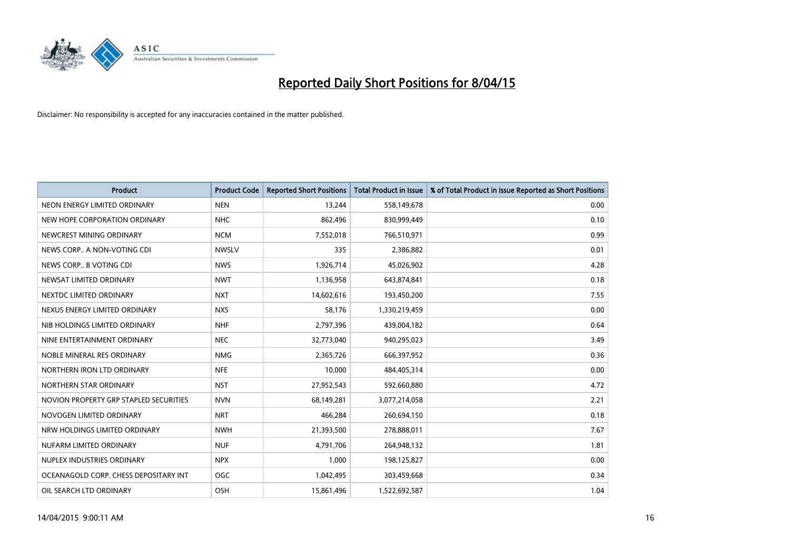

| <b>Product</b>                         | <b>Product Code</b> | <b>Reported Short Positions</b> | <b>Total Product in Issue</b> | % of Total Product in Issue Reported as Short Positions |
|----------------------------------------|---------------------|---------------------------------|-------------------------------|---------------------------------------------------------|
| NEON ENERGY LIMITED ORDINARY           | <b>NEN</b>          | 13,244                          | 558,149,678                   | 0.00                                                    |
| NEW HOPE CORPORATION ORDINARY          | <b>NHC</b>          | 862,496                         | 830,999,449                   | 0.10                                                    |
| NEWCREST MINING ORDINARY               | <b>NCM</b>          | 7,552,018                       | 766,510,971                   | 0.99                                                    |
| NEWS CORP A NON-VOTING CDI             | <b>NWSLV</b>        | 335                             | 2,386,882                     | 0.01                                                    |
| NEWS CORP B VOTING CDI                 | <b>NWS</b>          | 1,926,714                       | 45,026,902                    | 4.28                                                    |
| NEWSAT LIMITED ORDINARY                | <b>NWT</b>          | 1,136,958                       | 643,874,841                   | 0.18                                                    |
| NEXTDC LIMITED ORDINARY                | <b>NXT</b>          | 14,602,616                      | 193,450,200                   | 7.55                                                    |
| NEXUS ENERGY LIMITED ORDINARY          | <b>NXS</b>          | 58,176                          | 1,330,219,459                 | 0.00                                                    |
| NIB HOLDINGS LIMITED ORDINARY          | <b>NHF</b>          | 2,797,396                       | 439,004,182                   | 0.64                                                    |
| NINE ENTERTAINMENT ORDINARY            | <b>NEC</b>          | 32,773,040                      | 940,295,023                   | 3.49                                                    |
| NOBLE MINERAL RES ORDINARY             | <b>NMG</b>          | 2,365,726                       | 666,397,952                   | 0.36                                                    |
| NORTHERN IRON LTD ORDINARY             | <b>NFE</b>          | 10,000                          | 484,405,314                   | 0.00                                                    |
| NORTHERN STAR ORDINARY                 | <b>NST</b>          | 27,952,543                      | 592,660,880                   | 4.72                                                    |
| NOVION PROPERTY GRP STAPLED SECURITIES | <b>NVN</b>          | 68,149,281                      | 3,077,214,058                 | 2.21                                                    |
| NOVOGEN LIMITED ORDINARY               | <b>NRT</b>          | 466,284                         | 260,694,150                   | 0.18                                                    |
| NRW HOLDINGS LIMITED ORDINARY          | <b>NWH</b>          | 21,393,500                      | 278,888,011                   | 7.67                                                    |
| NUFARM LIMITED ORDINARY                | <b>NUF</b>          | 4,791,706                       | 264,948,132                   | 1.81                                                    |
| NUPLEX INDUSTRIES ORDINARY             | <b>NPX</b>          | 1,000                           | 198,125,827                   | 0.00                                                    |
| OCEANAGOLD CORP. CHESS DEPOSITARY INT  | <b>OGC</b>          | 1,042,495                       | 303,459,668                   | 0.34                                                    |
| OIL SEARCH LTD ORDINARY                | OSH                 | 15,861,496                      | 1,522,692,587                 | 1.04                                                    |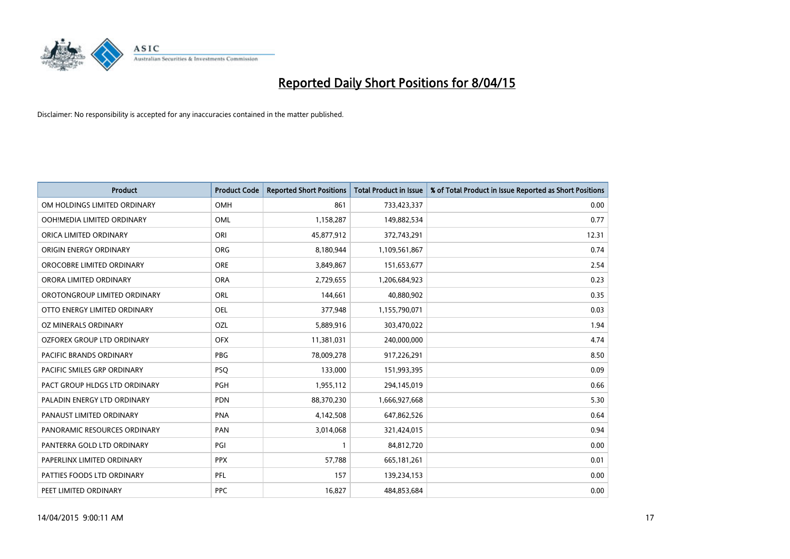

| <b>Product</b>                | <b>Product Code</b> | <b>Reported Short Positions</b> | <b>Total Product in Issue</b> | % of Total Product in Issue Reported as Short Positions |
|-------------------------------|---------------------|---------------------------------|-------------------------------|---------------------------------------------------------|
| OM HOLDINGS LIMITED ORDINARY  | <b>OMH</b>          | 861                             | 733,423,337                   | 0.00                                                    |
| OOH!MEDIA LIMITED ORDINARY    | OML                 | 1,158,287                       | 149,882,534                   | 0.77                                                    |
| ORICA LIMITED ORDINARY        | ORI                 | 45,877,912                      | 372,743,291                   | 12.31                                                   |
| ORIGIN ENERGY ORDINARY        | <b>ORG</b>          | 8,180,944                       | 1,109,561,867                 | 0.74                                                    |
| OROCOBRE LIMITED ORDINARY     | <b>ORE</b>          | 3,849,867                       | 151,653,677                   | 2.54                                                    |
| ORORA LIMITED ORDINARY        | <b>ORA</b>          | 2,729,655                       | 1,206,684,923                 | 0.23                                                    |
| OROTONGROUP LIMITED ORDINARY  | <b>ORL</b>          | 144,661                         | 40,880,902                    | 0.35                                                    |
| OTTO ENERGY LIMITED ORDINARY  | <b>OEL</b>          | 377,948                         | 1,155,790,071                 | 0.03                                                    |
| OZ MINERALS ORDINARY          | OZL                 | 5,889,916                       | 303,470,022                   | 1.94                                                    |
| OZFOREX GROUP LTD ORDINARY    | <b>OFX</b>          | 11,381,031                      | 240,000,000                   | 4.74                                                    |
| PACIFIC BRANDS ORDINARY       | <b>PBG</b>          | 78,009,278                      | 917,226,291                   | 8.50                                                    |
| PACIFIC SMILES GRP ORDINARY   | <b>PSQ</b>          | 133,000                         | 151,993,395                   | 0.09                                                    |
| PACT GROUP HLDGS LTD ORDINARY | PGH                 | 1,955,112                       | 294,145,019                   | 0.66                                                    |
| PALADIN ENERGY LTD ORDINARY   | <b>PDN</b>          | 88,370,230                      | 1,666,927,668                 | 5.30                                                    |
| PANAUST LIMITED ORDINARY      | <b>PNA</b>          | 4,142,508                       | 647,862,526                   | 0.64                                                    |
| PANORAMIC RESOURCES ORDINARY  | PAN                 | 3,014,068                       | 321,424,015                   | 0.94                                                    |
| PANTERRA GOLD LTD ORDINARY    | PGI                 | $\mathbf{1}$                    | 84,812,720                    | 0.00                                                    |
| PAPERLINX LIMITED ORDINARY    | <b>PPX</b>          | 57,788                          | 665, 181, 261                 | 0.01                                                    |
| PATTIES FOODS LTD ORDINARY    | PFL                 | 157                             | 139,234,153                   | 0.00                                                    |
| PEET LIMITED ORDINARY         | <b>PPC</b>          | 16,827                          | 484,853,684                   | 0.00                                                    |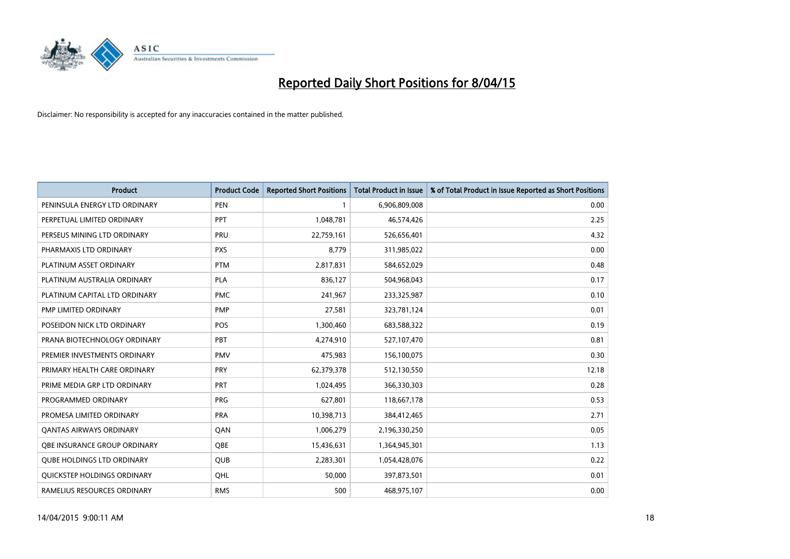

| <b>Product</b>                    | <b>Product Code</b> | <b>Reported Short Positions</b> | <b>Total Product in Issue</b> | % of Total Product in Issue Reported as Short Positions |
|-----------------------------------|---------------------|---------------------------------|-------------------------------|---------------------------------------------------------|
| PENINSULA ENERGY LTD ORDINARY     | <b>PEN</b>          | 1                               | 6,906,809,008                 | 0.00                                                    |
| PERPETUAL LIMITED ORDINARY        | <b>PPT</b>          | 1,048,781                       | 46,574,426                    | 2.25                                                    |
| PERSEUS MINING LTD ORDINARY       | PRU                 | 22,759,161                      | 526,656,401                   | 4.32                                                    |
| PHARMAXIS LTD ORDINARY            | <b>PXS</b>          | 8,779                           | 311,985,022                   | 0.00                                                    |
| PLATINUM ASSET ORDINARY           | <b>PTM</b>          | 2,817,831                       | 584,652,029                   | 0.48                                                    |
| PLATINUM AUSTRALIA ORDINARY       | <b>PLA</b>          | 836,127                         | 504,968,043                   | 0.17                                                    |
| PLATINUM CAPITAL LTD ORDINARY     | <b>PMC</b>          | 241,967                         | 233,325,987                   | 0.10                                                    |
| PMP LIMITED ORDINARY              | <b>PMP</b>          | 27,581                          | 323,781,124                   | 0.01                                                    |
| POSEIDON NICK LTD ORDINARY        | <b>POS</b>          | 1,300,460                       | 683,588,322                   | 0.19                                                    |
| PRANA BIOTECHNOLOGY ORDINARY      | <b>PBT</b>          | 4,274,910                       | 527,107,470                   | 0.81                                                    |
| PREMIER INVESTMENTS ORDINARY      | <b>PMV</b>          | 475,983                         | 156,100,075                   | 0.30                                                    |
| PRIMARY HEALTH CARE ORDINARY      | PRY                 | 62,379,378                      | 512,130,550                   | 12.18                                                   |
| PRIME MEDIA GRP LTD ORDINARY      | <b>PRT</b>          | 1,024,495                       | 366,330,303                   | 0.28                                                    |
| PROGRAMMED ORDINARY               | <b>PRG</b>          | 627,801                         | 118,667,178                   | 0.53                                                    |
| PROMESA LIMITED ORDINARY          | <b>PRA</b>          | 10,398,713                      | 384,412,465                   | 2.71                                                    |
| <b>QANTAS AIRWAYS ORDINARY</b>    | QAN                 | 1,006,279                       | 2,196,330,250                 | 0.05                                                    |
| OBE INSURANCE GROUP ORDINARY      | QBE                 | 15,436,631                      | 1,364,945,301                 | 1.13                                                    |
| <b>QUBE HOLDINGS LTD ORDINARY</b> | <b>QUB</b>          | 2,283,301                       | 1,054,428,076                 | 0.22                                                    |
| QUICKSTEP HOLDINGS ORDINARY       | OHL                 | 50,000                          | 397,873,501                   | 0.01                                                    |
| RAMELIUS RESOURCES ORDINARY       | <b>RMS</b>          | 500                             | 468,975,107                   | 0.00                                                    |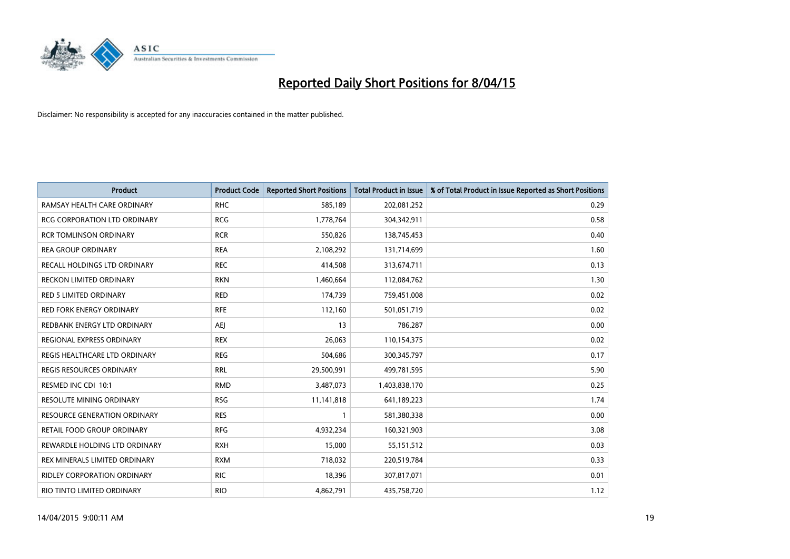

| <b>Product</b>                      | <b>Product Code</b> | <b>Reported Short Positions</b> | <b>Total Product in Issue</b> | % of Total Product in Issue Reported as Short Positions |
|-------------------------------------|---------------------|---------------------------------|-------------------------------|---------------------------------------------------------|
| RAMSAY HEALTH CARE ORDINARY         | <b>RHC</b>          | 585,189                         | 202,081,252                   | 0.29                                                    |
| RCG CORPORATION LTD ORDINARY        | <b>RCG</b>          | 1,778,764                       | 304,342,911                   | 0.58                                                    |
| <b>RCR TOMLINSON ORDINARY</b>       | <b>RCR</b>          | 550,826                         | 138,745,453                   | 0.40                                                    |
| <b>REA GROUP ORDINARY</b>           | <b>REA</b>          | 2,108,292                       | 131,714,699                   | 1.60                                                    |
| RECALL HOLDINGS LTD ORDINARY        | <b>REC</b>          | 414,508                         | 313,674,711                   | 0.13                                                    |
| <b>RECKON LIMITED ORDINARY</b>      | <b>RKN</b>          | 1,460,664                       | 112,084,762                   | 1.30                                                    |
| <b>RED 5 LIMITED ORDINARY</b>       | <b>RED</b>          | 174,739                         | 759,451,008                   | 0.02                                                    |
| RED FORK ENERGY ORDINARY            | <b>RFE</b>          | 112,160                         | 501,051,719                   | 0.02                                                    |
| REDBANK ENERGY LTD ORDINARY         | <b>AEI</b>          | 13                              | 786,287                       | 0.00                                                    |
| <b>REGIONAL EXPRESS ORDINARY</b>    | <b>REX</b>          | 26,063                          | 110,154,375                   | 0.02                                                    |
| REGIS HEALTHCARE LTD ORDINARY       | <b>REG</b>          | 504,686                         | 300, 345, 797                 | 0.17                                                    |
| REGIS RESOURCES ORDINARY            | <b>RRL</b>          | 29,500,991                      | 499,781,595                   | 5.90                                                    |
| RESMED INC CDI 10:1                 | <b>RMD</b>          | 3,487,073                       | 1,403,838,170                 | 0.25                                                    |
| RESOLUTE MINING ORDINARY            | <b>RSG</b>          | 11,141,818                      | 641,189,223                   | 1.74                                                    |
| <b>RESOURCE GENERATION ORDINARY</b> | <b>RES</b>          | 1                               | 581,380,338                   | 0.00                                                    |
| RETAIL FOOD GROUP ORDINARY          | <b>RFG</b>          | 4,932,234                       | 160,321,903                   | 3.08                                                    |
| REWARDLE HOLDING LTD ORDINARY       | <b>RXH</b>          | 15,000                          | 55,151,512                    | 0.03                                                    |
| REX MINERALS LIMITED ORDINARY       | <b>RXM</b>          | 718,032                         | 220,519,784                   | 0.33                                                    |
| RIDLEY CORPORATION ORDINARY         | <b>RIC</b>          | 18,396                          | 307,817,071                   | 0.01                                                    |
| RIO TINTO LIMITED ORDINARY          | <b>RIO</b>          | 4,862,791                       | 435,758,720                   | 1.12                                                    |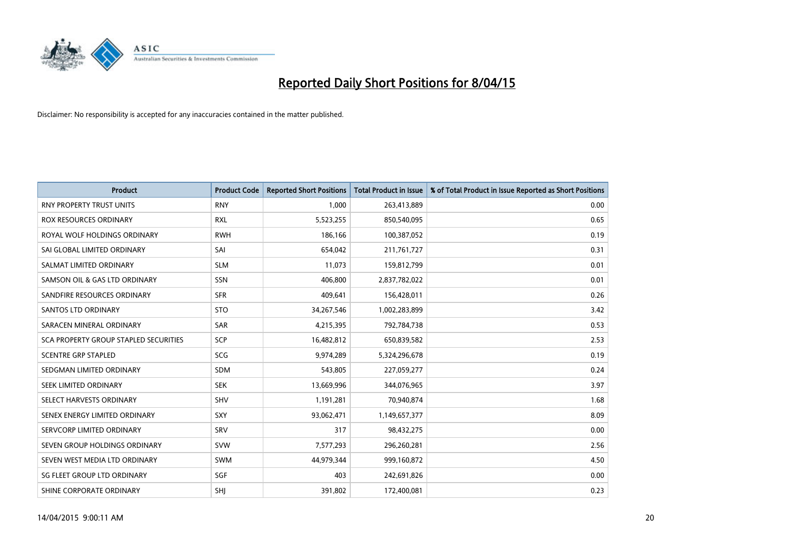

| <b>Product</b>                        | <b>Product Code</b> | <b>Reported Short Positions</b> | <b>Total Product in Issue</b> | % of Total Product in Issue Reported as Short Positions |
|---------------------------------------|---------------------|---------------------------------|-------------------------------|---------------------------------------------------------|
| <b>RNY PROPERTY TRUST UNITS</b>       | <b>RNY</b>          | 1,000                           | 263,413,889                   | 0.00                                                    |
| <b>ROX RESOURCES ORDINARY</b>         | <b>RXL</b>          | 5,523,255                       | 850,540,095                   | 0.65                                                    |
| ROYAL WOLF HOLDINGS ORDINARY          | <b>RWH</b>          | 186,166                         | 100,387,052                   | 0.19                                                    |
| SAI GLOBAL LIMITED ORDINARY           | SAI                 | 654,042                         | 211,761,727                   | 0.31                                                    |
| SALMAT LIMITED ORDINARY               | <b>SLM</b>          | 11,073                          | 159,812,799                   | 0.01                                                    |
| SAMSON OIL & GAS LTD ORDINARY         | SSN                 | 406,800                         | 2,837,782,022                 | 0.01                                                    |
| SANDFIRE RESOURCES ORDINARY           | <b>SFR</b>          | 409,641                         | 156,428,011                   | 0.26                                                    |
| <b>SANTOS LTD ORDINARY</b>            | <b>STO</b>          | 34,267,546                      | 1,002,283,899                 | 3.42                                                    |
| SARACEN MINERAL ORDINARY              | <b>SAR</b>          | 4,215,395                       | 792,784,738                   | 0.53                                                    |
| SCA PROPERTY GROUP STAPLED SECURITIES | SCP                 | 16,482,812                      | 650,839,582                   | 2.53                                                    |
| <b>SCENTRE GRP STAPLED</b>            | SCG                 | 9,974,289                       | 5,324,296,678                 | 0.19                                                    |
| SEDGMAN LIMITED ORDINARY              | <b>SDM</b>          | 543,805                         | 227,059,277                   | 0.24                                                    |
| SEEK LIMITED ORDINARY                 | <b>SEK</b>          | 13,669,996                      | 344,076,965                   | 3.97                                                    |
| SELECT HARVESTS ORDINARY              | <b>SHV</b>          | 1,191,281                       | 70,940,874                    | 1.68                                                    |
| SENEX ENERGY LIMITED ORDINARY         | <b>SXY</b>          | 93,062,471                      | 1,149,657,377                 | 8.09                                                    |
| SERVCORP LIMITED ORDINARY             | SRV                 | 317                             | 98,432,275                    | 0.00                                                    |
| SEVEN GROUP HOLDINGS ORDINARY         | <b>SVW</b>          | 7,577,293                       | 296,260,281                   | 2.56                                                    |
| SEVEN WEST MEDIA LTD ORDINARY         | SWM                 | 44,979,344                      | 999,160,872                   | 4.50                                                    |
| SG FLEET GROUP LTD ORDINARY           | SGF                 | 403                             | 242,691,826                   | 0.00                                                    |
| SHINE CORPORATE ORDINARY              | SHJ                 | 391,802                         | 172,400,081                   | 0.23                                                    |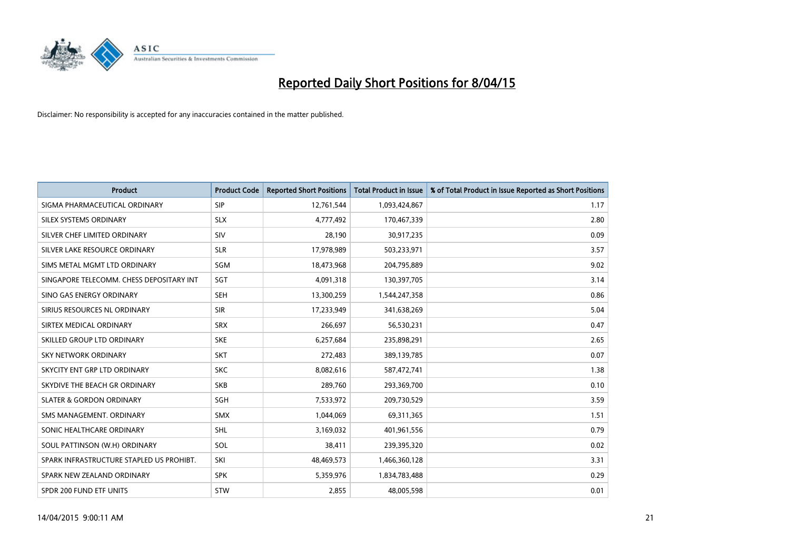

| <b>Product</b>                           | <b>Product Code</b> | <b>Reported Short Positions</b> | <b>Total Product in Issue</b> | % of Total Product in Issue Reported as Short Positions |
|------------------------------------------|---------------------|---------------------------------|-------------------------------|---------------------------------------------------------|
| SIGMA PHARMACEUTICAL ORDINARY            | <b>SIP</b>          | 12,761,544                      | 1,093,424,867                 | 1.17                                                    |
| SILEX SYSTEMS ORDINARY                   | <b>SLX</b>          | 4,777,492                       | 170,467,339                   | 2.80                                                    |
| SILVER CHEF LIMITED ORDINARY             | SIV                 | 28,190                          | 30,917,235                    | 0.09                                                    |
| SILVER LAKE RESOURCE ORDINARY            | <b>SLR</b>          | 17,978,989                      | 503,233,971                   | 3.57                                                    |
| SIMS METAL MGMT LTD ORDINARY             | SGM                 | 18,473,968                      | 204,795,889                   | 9.02                                                    |
| SINGAPORE TELECOMM. CHESS DEPOSITARY INT | SGT                 | 4,091,318                       | 130,397,705                   | 3.14                                                    |
| SINO GAS ENERGY ORDINARY                 | <b>SEH</b>          | 13,300,259                      | 1,544,247,358                 | 0.86                                                    |
| SIRIUS RESOURCES NL ORDINARY             | <b>SIR</b>          | 17,233,949                      | 341,638,269                   | 5.04                                                    |
| SIRTEX MEDICAL ORDINARY                  | <b>SRX</b>          | 266,697                         | 56,530,231                    | 0.47                                                    |
| SKILLED GROUP LTD ORDINARY               | <b>SKE</b>          | 6,257,684                       | 235,898,291                   | 2.65                                                    |
| SKY NETWORK ORDINARY                     | <b>SKT</b>          | 272,483                         | 389,139,785                   | 0.07                                                    |
| SKYCITY ENT GRP LTD ORDINARY             | <b>SKC</b>          | 8,082,616                       | 587,472,741                   | 1.38                                                    |
| SKYDIVE THE BEACH GR ORDINARY            | <b>SKB</b>          | 289,760                         | 293,369,700                   | 0.10                                                    |
| <b>SLATER &amp; GORDON ORDINARY</b>      | SGH                 | 7,533,972                       | 209,730,529                   | 3.59                                                    |
| SMS MANAGEMENT, ORDINARY                 | <b>SMX</b>          | 1,044,069                       | 69,311,365                    | 1.51                                                    |
| SONIC HEALTHCARE ORDINARY                | <b>SHL</b>          | 3,169,032                       | 401,961,556                   | 0.79                                                    |
| SOUL PATTINSON (W.H) ORDINARY            | SOL                 | 38,411                          | 239,395,320                   | 0.02                                                    |
| SPARK INFRASTRUCTURE STAPLED US PROHIBT. | SKI                 | 48,469,573                      | 1,466,360,128                 | 3.31                                                    |
| SPARK NEW ZEALAND ORDINARY               | <b>SPK</b>          | 5,359,976                       | 1,834,783,488                 | 0.29                                                    |
| SPDR 200 FUND ETF UNITS                  | <b>STW</b>          | 2,855                           | 48,005,598                    | 0.01                                                    |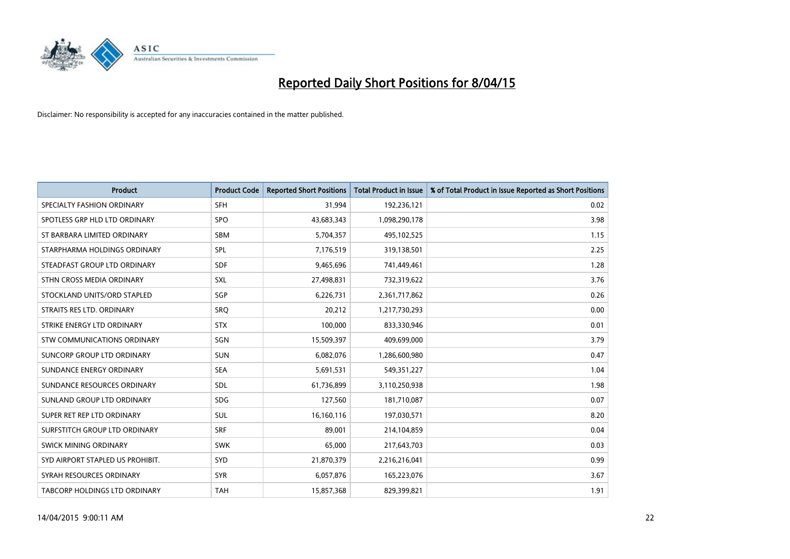

| <b>Product</b>                   | <b>Product Code</b> | <b>Reported Short Positions</b> | <b>Total Product in Issue</b> | % of Total Product in Issue Reported as Short Positions |
|----------------------------------|---------------------|---------------------------------|-------------------------------|---------------------------------------------------------|
| SPECIALTY FASHION ORDINARY       | <b>SFH</b>          | 31,994                          | 192,236,121                   | 0.02                                                    |
| SPOTLESS GRP HLD LTD ORDINARY    | <b>SPO</b>          | 43,683,343                      | 1,098,290,178                 | 3.98                                                    |
| ST BARBARA LIMITED ORDINARY      | <b>SBM</b>          | 5,704,357                       | 495,102,525                   | 1.15                                                    |
| STARPHARMA HOLDINGS ORDINARY     | <b>SPL</b>          | 7,176,519                       | 319,138,501                   | 2.25                                                    |
| STEADFAST GROUP LTD ORDINARY     | <b>SDF</b>          | 9,465,696                       | 741,449,461                   | 1.28                                                    |
| STHN CROSS MEDIA ORDINARY        | <b>SXL</b>          | 27,498,831                      | 732,319,622                   | 3.76                                                    |
| STOCKLAND UNITS/ORD STAPLED      | SGP                 | 6,226,731                       | 2,361,717,862                 | 0.26                                                    |
| STRAITS RES LTD. ORDINARY        | <b>SRQ</b>          | 20,212                          | 1,217,730,293                 | 0.00                                                    |
| STRIKE ENERGY LTD ORDINARY       | <b>STX</b>          | 100,000                         | 833,330,946                   | 0.01                                                    |
| STW COMMUNICATIONS ORDINARY      | SGN                 | 15,509,397                      | 409,699,000                   | 3.79                                                    |
| SUNCORP GROUP LTD ORDINARY       | <b>SUN</b>          | 6,082,076                       | 1,286,600,980                 | 0.47                                                    |
| SUNDANCE ENERGY ORDINARY         | <b>SEA</b>          | 5,691,531                       | 549,351,227                   | 1.04                                                    |
| SUNDANCE RESOURCES ORDINARY      | SDL                 | 61,736,899                      | 3,110,250,938                 | 1.98                                                    |
| SUNLAND GROUP LTD ORDINARY       | <b>SDG</b>          | 127,560                         | 181,710,087                   | 0.07                                                    |
| SUPER RET REP LTD ORDINARY       | SUL                 | 16,160,116                      | 197,030,571                   | 8.20                                                    |
| SURFSTITCH GROUP LTD ORDINARY    | <b>SRF</b>          | 89,001                          | 214,104,859                   | 0.04                                                    |
| SWICK MINING ORDINARY            | <b>SWK</b>          | 65,000                          | 217,643,703                   | 0.03                                                    |
| SYD AIRPORT STAPLED US PROHIBIT. | <b>SYD</b>          | 21,870,379                      | 2,216,216,041                 | 0.99                                                    |
| SYRAH RESOURCES ORDINARY         | <b>SYR</b>          | 6,057,876                       | 165,223,076                   | 3.67                                                    |
| TABCORP HOLDINGS LTD ORDINARY    | <b>TAH</b>          | 15,857,368                      | 829,399,821                   | 1.91                                                    |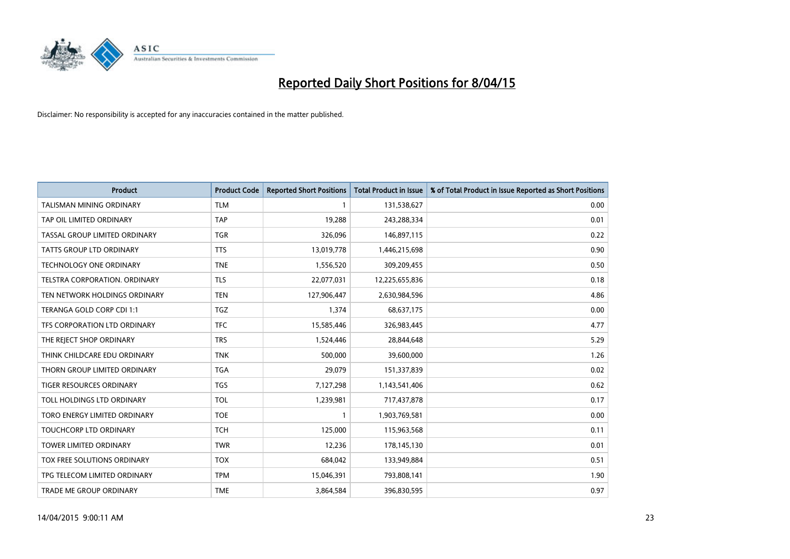

| <b>Product</b>                  | <b>Product Code</b> | <b>Reported Short Positions</b> | <b>Total Product in Issue</b> | % of Total Product in Issue Reported as Short Positions |
|---------------------------------|---------------------|---------------------------------|-------------------------------|---------------------------------------------------------|
| <b>TALISMAN MINING ORDINARY</b> | <b>TLM</b>          | 1                               | 131,538,627                   | 0.00                                                    |
| TAP OIL LIMITED ORDINARY        | <b>TAP</b>          | 19,288                          | 243,288,334                   | 0.01                                                    |
| TASSAL GROUP LIMITED ORDINARY   | <b>TGR</b>          | 326,096                         | 146,897,115                   | 0.22                                                    |
| <b>TATTS GROUP LTD ORDINARY</b> | <b>TTS</b>          | 13,019,778                      | 1,446,215,698                 | 0.90                                                    |
| <b>TECHNOLOGY ONE ORDINARY</b>  | <b>TNE</b>          | 1,556,520                       | 309,209,455                   | 0.50                                                    |
| TELSTRA CORPORATION, ORDINARY   | <b>TLS</b>          | 22,077,031                      | 12,225,655,836                | 0.18                                                    |
| TEN NETWORK HOLDINGS ORDINARY   | <b>TEN</b>          | 127,906,447                     | 2,630,984,596                 | 4.86                                                    |
| TERANGA GOLD CORP CDI 1:1       | <b>TGZ</b>          | 1,374                           | 68,637,175                    | 0.00                                                    |
| TFS CORPORATION LTD ORDINARY    | <b>TFC</b>          | 15,585,446                      | 326,983,445                   | 4.77                                                    |
| THE REJECT SHOP ORDINARY        | <b>TRS</b>          | 1,524,446                       | 28,844,648                    | 5.29                                                    |
| THINK CHILDCARE EDU ORDINARY    | <b>TNK</b>          | 500,000                         | 39,600,000                    | 1.26                                                    |
| THORN GROUP LIMITED ORDINARY    | <b>TGA</b>          | 29,079                          | 151,337,839                   | 0.02                                                    |
| TIGER RESOURCES ORDINARY        | <b>TGS</b>          | 7,127,298                       | 1,143,541,406                 | 0.62                                                    |
| TOLL HOLDINGS LTD ORDINARY      | <b>TOL</b>          | 1,239,981                       | 717,437,878                   | 0.17                                                    |
| TORO ENERGY LIMITED ORDINARY    | <b>TOE</b>          | $\mathbf{1}$                    | 1,903,769,581                 | 0.00                                                    |
| TOUCHCORP LTD ORDINARY          | <b>TCH</b>          | 125,000                         | 115,963,568                   | 0.11                                                    |
| <b>TOWER LIMITED ORDINARY</b>   | <b>TWR</b>          | 12,236                          | 178,145,130                   | 0.01                                                    |
| TOX FREE SOLUTIONS ORDINARY     | <b>TOX</b>          | 684,042                         | 133,949,884                   | 0.51                                                    |
| TPG TELECOM LIMITED ORDINARY    | <b>TPM</b>          | 15,046,391                      | 793,808,141                   | 1.90                                                    |
| TRADE ME GROUP ORDINARY         | <b>TME</b>          | 3,864,584                       | 396,830,595                   | 0.97                                                    |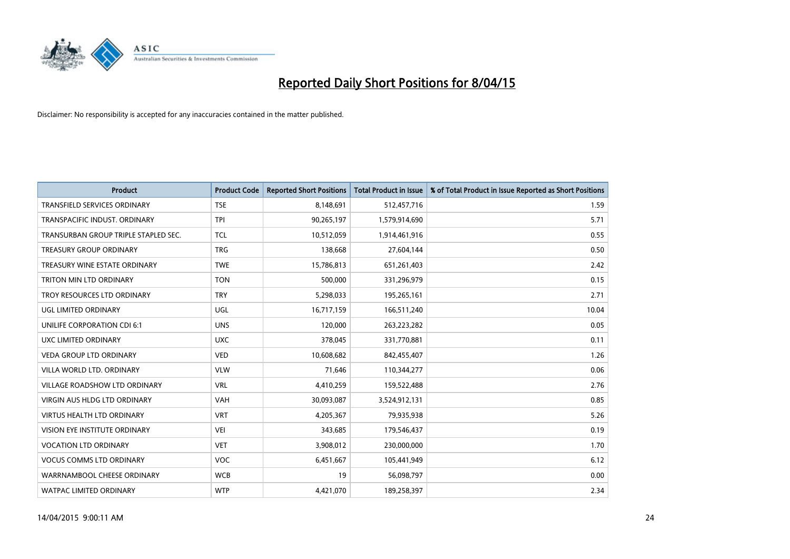

| <b>Product</b>                       | <b>Product Code</b> | <b>Reported Short Positions</b> | <b>Total Product in Issue</b> | % of Total Product in Issue Reported as Short Positions |
|--------------------------------------|---------------------|---------------------------------|-------------------------------|---------------------------------------------------------|
| <b>TRANSFIELD SERVICES ORDINARY</b>  | <b>TSE</b>          | 8,148,691                       | 512,457,716                   | 1.59                                                    |
| TRANSPACIFIC INDUST. ORDINARY        | <b>TPI</b>          | 90,265,197                      | 1,579,914,690                 | 5.71                                                    |
| TRANSURBAN GROUP TRIPLE STAPLED SEC. | <b>TCL</b>          | 10,512,059                      | 1,914,461,916                 | 0.55                                                    |
| <b>TREASURY GROUP ORDINARY</b>       | <b>TRG</b>          | 138,668                         | 27,604,144                    | 0.50                                                    |
| TREASURY WINE ESTATE ORDINARY        | <b>TWE</b>          | 15,786,813                      | 651,261,403                   | 2.42                                                    |
| <b>TRITON MIN LTD ORDINARY</b>       | <b>TON</b>          | 500,000                         | 331,296,979                   | 0.15                                                    |
| TROY RESOURCES LTD ORDINARY          | <b>TRY</b>          | 5,298,033                       | 195,265,161                   | 2.71                                                    |
| UGL LIMITED ORDINARY                 | UGL                 | 16,717,159                      | 166,511,240                   | 10.04                                                   |
| UNILIFE CORPORATION CDI 6:1          | <b>UNS</b>          | 120,000                         | 263,223,282                   | 0.05                                                    |
| <b>UXC LIMITED ORDINARY</b>          | <b>UXC</b>          | 378,045                         | 331,770,881                   | 0.11                                                    |
| <b>VEDA GROUP LTD ORDINARY</b>       | <b>VED</b>          | 10,608,682                      | 842,455,407                   | 1.26                                                    |
| VILLA WORLD LTD. ORDINARY            | <b>VLW</b>          | 71,646                          | 110,344,277                   | 0.06                                                    |
| VILLAGE ROADSHOW LTD ORDINARY        | <b>VRL</b>          | 4,410,259                       | 159,522,488                   | 2.76                                                    |
| <b>VIRGIN AUS HLDG LTD ORDINARY</b>  | <b>VAH</b>          | 30,093,087                      | 3,524,912,131                 | 0.85                                                    |
| <b>VIRTUS HEALTH LTD ORDINARY</b>    | <b>VRT</b>          | 4,205,367                       | 79,935,938                    | 5.26                                                    |
| <b>VISION EYE INSTITUTE ORDINARY</b> | <b>VEI</b>          | 343,685                         | 179,546,437                   | 0.19                                                    |
| <b>VOCATION LTD ORDINARY</b>         | <b>VET</b>          | 3,908,012                       | 230,000,000                   | 1.70                                                    |
| <b>VOCUS COMMS LTD ORDINARY</b>      | <b>VOC</b>          | 6,451,667                       | 105,441,949                   | 6.12                                                    |
| WARRNAMBOOL CHEESE ORDINARY          | <b>WCB</b>          | 19                              | 56,098,797                    | 0.00                                                    |
| <b>WATPAC LIMITED ORDINARY</b>       | <b>WTP</b>          | 4,421,070                       | 189,258,397                   | 2.34                                                    |